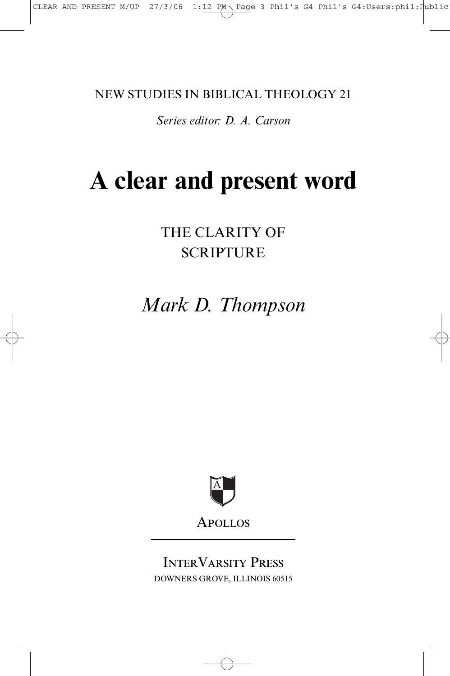## NEW STUDIES IN BIBLICAL THEOLOGY 21

## *Series editor: D. A. Carson*

# **A clear and present word**

THE CLARITY OF SCRIPTURE

*Mark D. Thompson*



**APOLLOS** 

# **INTERVARSITY PRESS**

DOWNERS GROVE, ILLINOIS 60515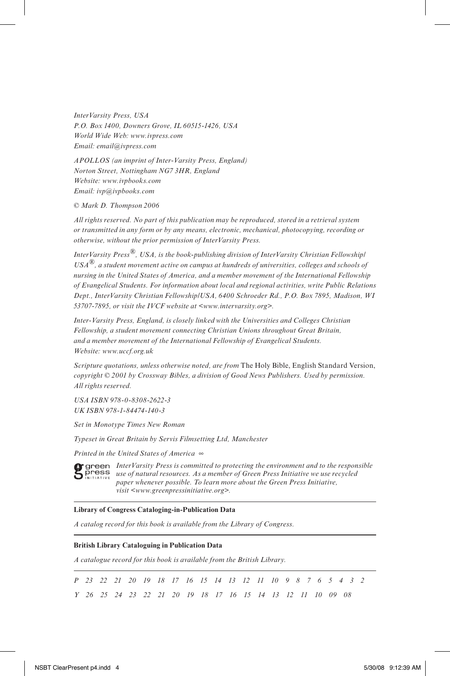*InterVarsity Press, USA P.O. Box 1400, Downers Grove, IL 60515-1426, USA World Wide Web: www.ivpress.com Email: email@ivpress.com*

*APOLLOS (an imprint of Inter-Varsity Press, England) Norton Street, Nottingham NG7 3HR, England Website: www.ivpbooks.com Email: ivp@ivpbooks.com*

*© Mark D. Thompson 2006*

*All rights reserved. No part of this publication may be reproduced, stored in a retrieval system or transmitted in any form or by any means, electronic, mechanical, photocopying, recording or otherwise, without the prior permission of InterVarsity Press.*

*InterVarsity Press®, USA, is the book-publishing division of InterVarsity Christian Fellowship/ USA®, a student movement active on campus at hundreds of universities, colleges and schools of nursing in the United States of America, and a member movement of the International Fellowship of Evangelical Students. For information about local and regional activities, write Public Relations Dept., InterVarsity Christian Fellowship/USA, 6400 Schroeder Rd., P.O. Box 7895, Madison, WI 53707-7895, or visit the IVCF website at <www.intervarsity.org>.*

*Inter-Varsity Press, England, is closely linked with the Universities and Colleges Christian Fellowship, a student movement connecting Christian Unions throughout Great Britain, and a member movement of the International Fellowship of Evangelical Students. Website: www.uccf.org.uk*

*Scripture quotations, unless otherwise noted, are from* The Holy Bible, English Standard Version, *copyright © 2001 by Crossway Bibles, a division of Good News Publishers. Used by permission. All rights reserved.*

*USA ISBN 978-0-8308-2622-3 UK ISBN 978-1-84474-140-3*

*Set in Monotype Times New Roman*

*Typeset in Great Britain by Servis Filmsetting Ltd, Manchester*

*Printed in the United States of America ∞*



*InterVarsity Press is committed to protecting the environment and to the responsible use of natural resources. As a member of Green Press Initiative we use recycled paper whenever possible. To learn more about the Green Press Initiative, visit <www.greenpressinitiative.org>.*

#### **Library of Congress Cataloging-in-Publication Data**

*A catalog record for this book is available from the Library of Congress.*

#### **British Library Cataloguing in Publication Data**

*A catalogue record for this book is available from the British Library.*

|  |  |  |  |  |  | P 23 22 21 20 19 18 17 16 15 14 13 12 11 10 9 8 7 6 5 4 3 2 |  |  |  |  |  |
|--|--|--|--|--|--|-------------------------------------------------------------|--|--|--|--|--|
|  |  |  |  |  |  | Y 26 25 24 23 22 21 20 19 18 17 16 15 14 13 12 11 10 09 08  |  |  |  |  |  |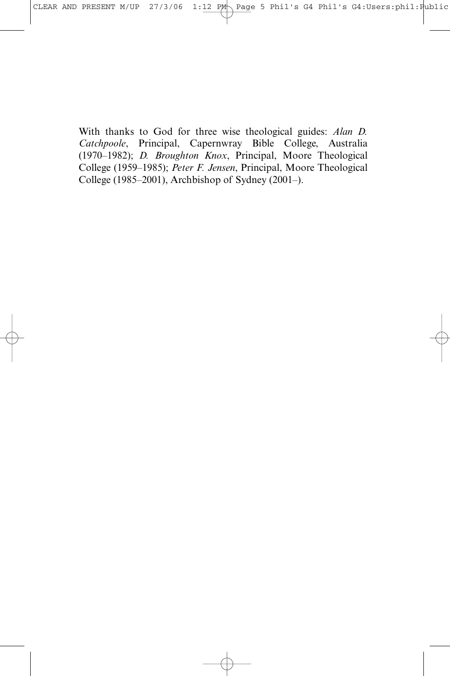With thanks to God for three wise theological guides: *Alan D. Catchpoole*, Principal, Capernwray Bible College, Australia (1970–1982); *D. Broughton Knox*, Principal, Moore Theological College (1959–1985); *Peter F. Jensen*, Principal, Moore Theological College (1985–2001), Archbishop of Sydney (2001–).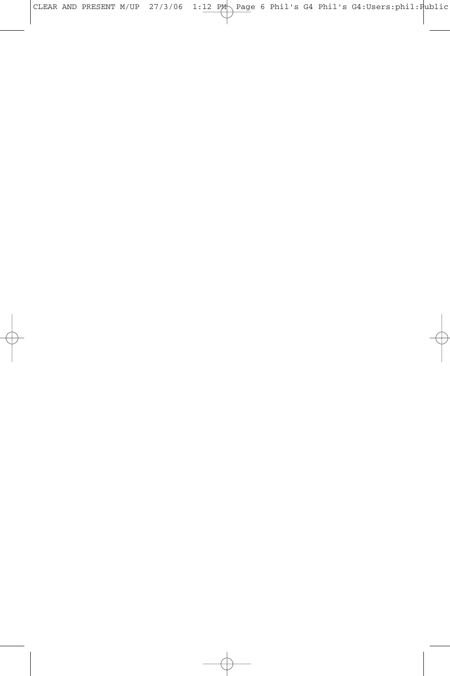CLEAR AND PRESENT M/UP 27/3/06 1:12 PM Page 6 Phil's G4 Phil's G4:Users:phil:Public

 $\oplus$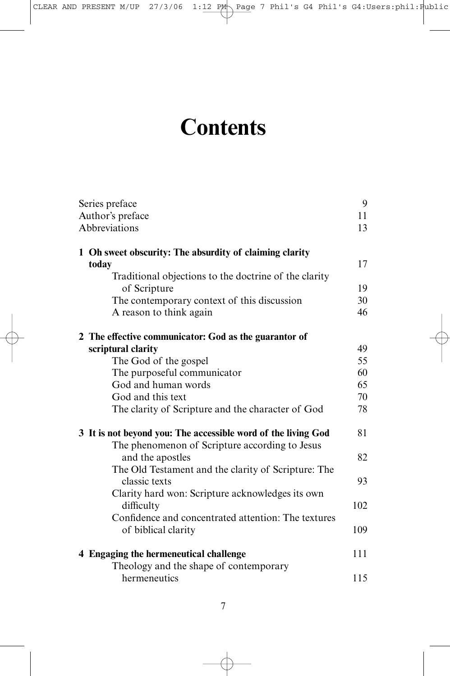CLEAR AND PRESENT M/UP 27/3/06 1:12 PM Page 7 Phil's G4 Phil's G4:Users:phil:Public

# **Contents**

| Series preface                                                | 9   |
|---------------------------------------------------------------|-----|
| Author's preface                                              | 11  |
| Abbreviations                                                 | 13  |
| 1 Oh sweet obscurity: The absurdity of claiming clarity       |     |
| today                                                         | 17  |
| Traditional objections to the doctrine of the clarity         |     |
| of Scripture                                                  | 19  |
| The contemporary context of this discussion                   | 30  |
| A reason to think again                                       | 46  |
| 2 The effective communicator: God as the guarantor of         |     |
| scriptural clarity                                            | 49  |
| The God of the gospel                                         | 55  |
| The purposeful communicator                                   | 60  |
| God and human words                                           | 65  |
| God and this text                                             | 70  |
| The clarity of Scripture and the character of God             | 78  |
| 3 It is not beyond you: The accessible word of the living God | 81  |
| The phenomenon of Scripture according to Jesus                |     |
| and the apostles                                              | 82  |
| The Old Testament and the clarity of Scripture: The           |     |
| classic texts                                                 | 93  |
| Clarity hard won: Scripture acknowledges its own              |     |
| difficulty                                                    | 102 |
| Confidence and concentrated attention: The textures           |     |
| of biblical clarity                                           | 109 |
| 4 Engaging the hermeneutical challenge                        | 111 |
| Theology and the shape of contemporary                        |     |
| hermeneutics                                                  | 115 |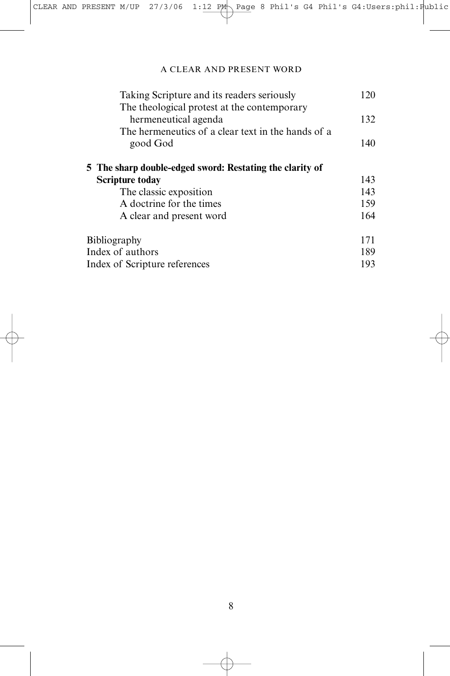| Taking Scripture and its readers seriously               |     |  |  |  |  |
|----------------------------------------------------------|-----|--|--|--|--|
| The theological protest at the contemporary              |     |  |  |  |  |
| hermeneutical agenda                                     |     |  |  |  |  |
| The hermeneutics of a clear text in the hands of a       |     |  |  |  |  |
| good God                                                 | 140 |  |  |  |  |
| 5 The sharp double-edged sword: Restating the clarity of |     |  |  |  |  |
| <b>Scripture today</b>                                   |     |  |  |  |  |
| The classic exposition                                   | 143 |  |  |  |  |
| A doctrine for the times                                 | 159 |  |  |  |  |
| A clear and present word                                 | 164 |  |  |  |  |
| Bibliography                                             | 171 |  |  |  |  |
| Index of authors                                         |     |  |  |  |  |
| Index of Scripture references                            |     |  |  |  |  |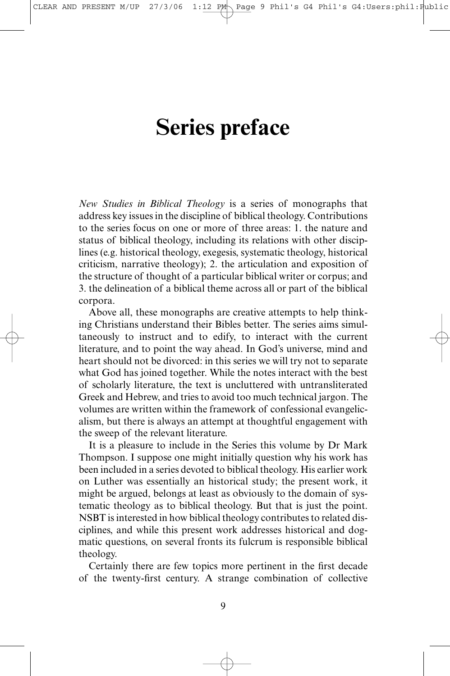# **Series preface**

*New Studies in Biblical Theology* is a series of monographs that address key issues in the discipline of biblical theology. Contributions to the series focus on one or more of three areas: 1. the nature and status of biblical theology, including its relations with other disciplines (e.g. historical theology, exegesis, systematic theology, historical criticism, narrative theology); 2. the articulation and exposition of the structure of thought of a particular biblical writer or corpus; and 3. the delineation of a biblical theme across all or part of the biblical corpora.

Above all, these monographs are creative attempts to help thinking Christians understand their Bibles better. The series aims simultaneously to instruct and to edify, to interact with the current literature, and to point the way ahead. In God's universe, mind and heart should not be divorced: in this series we will try not to separate what God has joined together. While the notes interact with the best of scholarly literature, the text is uncluttered with untransliterated Greek and Hebrew, and tries to avoid too much technical jargon. The volumes are written within the framework of confessional evangelicalism, but there is always an attempt at thoughtful engagement with the sweep of the relevant literature.

It is a pleasure to include in the Series this volume by Dr Mark Thompson. I suppose one might initially question why his work has been included in a series devoted to biblical theology. His earlier work on Luther was essentially an historical study; the present work, it might be argued, belongs at least as obviously to the domain of systematic theology as to biblical theology. But that is just the point. NSBT is interested in how biblical theology contributes to related disciplines, and while this present work addresses historical and dogmatic questions, on several fronts its fulcrum is responsible biblical theology.

Certainly there are few topics more pertinent in the first decade of the twenty-first century. A strange combination of collective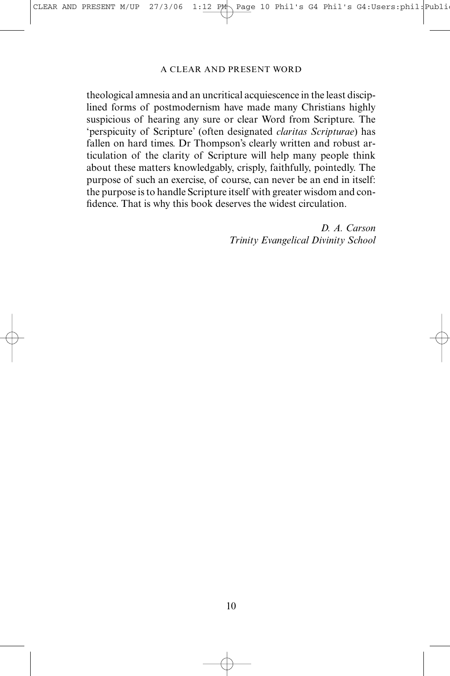theological amnesia and an uncritical acquiescence in the least disciplined forms of postmodernism have made many Christians highly suspicious of hearing any sure or clear Word from Scripture. The 'perspicuity of Scripture' (often designated *claritas Scripturae*) has fallen on hard times. Dr Thompson's clearly written and robust articulation of the clarity of Scripture will help many people think about these matters knowledgably, crisply, faithfully, pointedly. The purpose of such an exercise, of course, can never be an end in itself: the purpose is to handle Scripture itself with greater wisdom and confidence. That is why this book deserves the widest circulation.

> *D. A. Carson Trinity Evangelical Divinity School*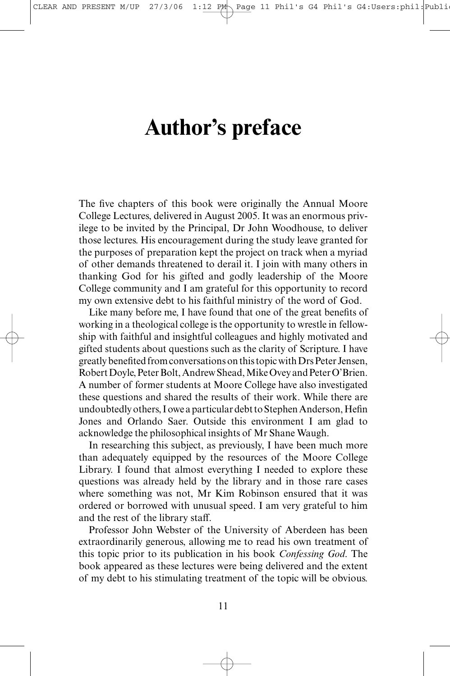# **Author's preface**

The five chapters of this book were originally the Annual Moore College Lectures, delivered in August 2005. It was an enormous privilege to be invited by the Principal, Dr John Woodhouse, to deliver those lectures. His encouragement during the study leave granted for the purposes of preparation kept the project on track when a myriad of other demands threatened to derail it. I join with many others in thanking God for his gifted and godly leadership of the Moore College community and I am grateful for this opportunity to record my own extensive debt to his faithful ministry of the word of God.

Like many before me, I have found that one of the great benefits of working in a theological college is the opportunity to wrestle in fellowship with faithful and insightful colleagues and highly motivated and gifted students about questions such as the clarity of Scripture. I have greatly benefited from conversations on this topic with Drs Peter Jensen, Robert Doyle, Peter Bolt, Andrew Shead, Mike Ovey and Peter O'Brien. A number of former students at Moore College have also investigated these questions and shared the results of their work. While there are undoubtedly others, I owe a particular debt to Stephen Anderson, Hefin Jones and Orlando Saer. Outside this environment I am glad to acknowledge the philosophical insights of Mr Shane Waugh.

In researching this subject, as previously, I have been much more than adequately equipped by the resources of the Moore College Library. I found that almost everything I needed to explore these questions was already held by the library and in those rare cases where something was not, Mr Kim Robinson ensured that it was ordered or borrowed with unusual speed. I am very grateful to him and the rest of the library staff.

Professor John Webster of the University of Aberdeen has been extraordinarily generous, allowing me to read his own treatment of this topic prior to its publication in his book *Confessing God*. The book appeared as these lectures were being delivered and the extent of my debt to his stimulating treatment of the topic will be obvious.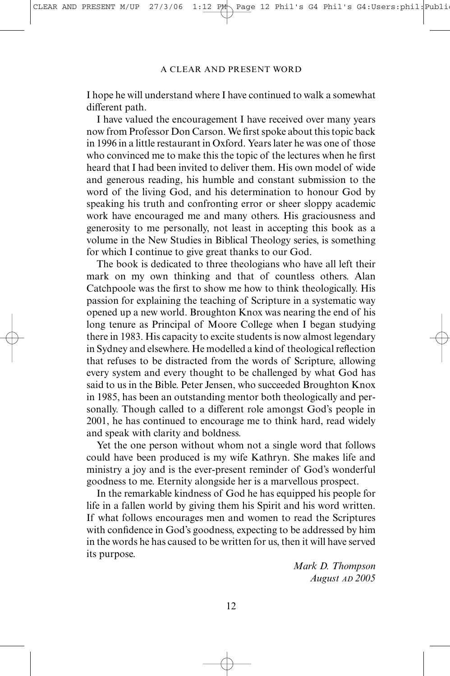I hope he will understand where I have continued to walk a somewhat different path.

I have valued the encouragement I have received over many years now from Professor Don Carson. We first spoke about this topic back in 1996 in a little restaurant in Oxford. Years later he was one of those who convinced me to make this the topic of the lectures when he first heard that I had been invited to deliver them. His own model of wide and generous reading, his humble and constant submission to the word of the living God, and his determination to honour God by speaking his truth and confronting error or sheer sloppy academic work have encouraged me and many others. His graciousness and generosity to me personally, not least in accepting this book as a volume in the New Studies in Biblical Theology series, is something for which I continue to give great thanks to our God.

The book is dedicated to three theologians who have all left their mark on my own thinking and that of countless others. Alan Catchpoole was the first to show me how to think theologically. His passion for explaining the teaching of Scripture in a systematic way opened up a new world. Broughton Knox was nearing the end of his long tenure as Principal of Moore College when I began studying there in 1983. His capacity to excite students is now almost legendary in Sydney and elsewhere. He modelled a kind of theological reflection that refuses to be distracted from the words of Scripture, allowing every system and every thought to be challenged by what God has said to us in the Bible. Peter Jensen, who succeeded Broughton Knox in 1985, has been an outstanding mentor both theologically and personally. Though called to a different role amongst God's people in 2001, he has continued to encourage me to think hard, read widely and speak with clarity and boldness.

Yet the one person without whom not a single word that follows could have been produced is my wife Kathryn. She makes life and ministry a joy and is the ever-present reminder of God's wonderful goodness to me. Eternity alongside her is a marvellous prospect.

In the remarkable kindness of God he has equipped his people for life in a fallen world by giving them his Spirit and his word written. If what follows encourages men and women to read the Scriptures with confidence in God's goodness, expecting to be addressed by him in the words he has caused to be written for us, then it will have served its purpose.

> *Mark D. Thompson August AD 2005*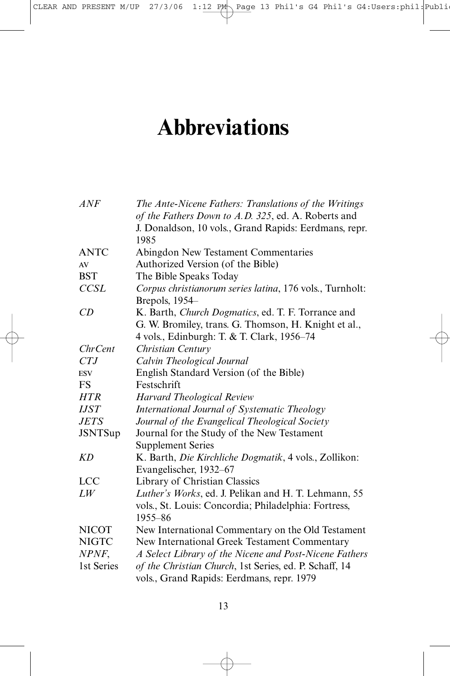CLEAR AND PRESENT M/UP 27/3/06 1:12 PM Page 13 Phil's G4 Phil's G4:Users:phil: Publi

# **Abbreviations**

| ANF                 | The Ante-Nicene Fathers: Translations of the Writings    |
|---------------------|----------------------------------------------------------|
|                     | of the Fathers Down to A.D. 325, ed. A. Roberts and      |
|                     | J. Donaldson, 10 vols., Grand Rapids: Eerdmans, repr.    |
|                     | 1985                                                     |
| <b>ANTC</b>         | Abingdon New Testament Commentaries                      |
| AV                  | Authorized Version (of the Bible)                        |
| <b>BST</b>          | The Bible Speaks Today                                   |
| CCSL                | Corpus christianorum series latina, 176 vols., Turnholt: |
|                     | Brepols, 1954–                                           |
| CD                  | K. Barth, Church Dogmatics, ed. T. F. Torrance and       |
|                     | G. W. Bromiley, trans. G. Thomson, H. Knight et al.,     |
|                     | 4 vols., Edinburgh: T. & T. Clark, 1956-74               |
| Chr <sub>Cent</sub> | Christian Century                                        |
| CTJ                 | Calvin Theological Journal                               |
| <b>ESV</b>          | English Standard Version (of the Bible)                  |
| <b>FS</b>           | Festschrift                                              |
| <b>HTR</b>          | <b>Harvard Theological Review</b>                        |
| <i><b>IJST</b></i>  | International Journal of Systematic Theology             |
| <b>JETS</b>         | Journal of the Evangelical Theological Society           |
| <b>JSNTSup</b>      | Journal for the Study of the New Testament               |
|                     | <b>Supplement Series</b>                                 |
| KD                  | K. Barth, Die Kirchliche Dogmatik, 4 vols., Zollikon:    |
|                     | Evangelischer, 1932-67                                   |
| <b>LCC</b>          | Library of Christian Classics                            |
| LW                  | Luther's Works, ed. J. Pelikan and H. T. Lehmann, 55     |
|                     | vols., St. Louis: Concordia; Philadelphia: Fortress,     |
|                     | 1955-86                                                  |
| <b>NICOT</b>        | New International Commentary on the Old Testament        |
| <b>NIGTC</b>        | New International Greek Testament Commentary             |
| NPNF,               | A Select Library of the Nicene and Post-Nicene Fathers   |
| 1st Series          | of the Christian Church, 1st Series, ed. P. Schaff, 14   |
|                     | vols., Grand Rapids: Eerdmans, repr. 1979                |
|                     |                                                          |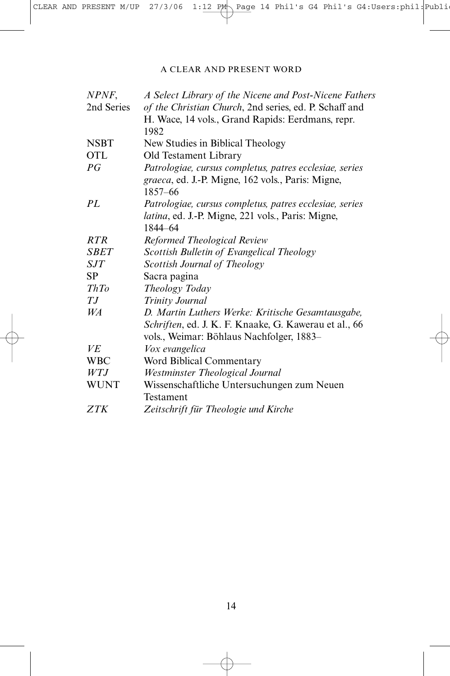CLEAR AND PRESENT M/UP 27/3/06 1:12 PM Page 14 Phil's G4 Phil's G4:Users:phil: Public

### A CLEAR AND PRESENT WORD

| A Select Library of the Nicene and Post-Nicene Fathers  |
|---------------------------------------------------------|
| of the Christian Church, 2nd series, ed. P. Schaff and  |
| H. Wace, 14 vols., Grand Rapids: Eerdmans, repr.        |
| 1982                                                    |
| New Studies in Biblical Theology                        |
| Old Testament Library                                   |
| Patrologiae, cursus completus, patres ecclesiae, series |
| graeca, ed. J.-P. Migne, 162 vols., Paris: Migne,       |
| 1857-66                                                 |
| Patrologiae, cursus completus, patres ecclesiae, series |
| latina, ed. J.-P. Migne, 221 vols., Paris: Migne,       |
| 1844-64                                                 |
| <b>Reformed Theological Review</b>                      |
| Scottish Bulletin of Evangelical Theology               |
| Scottish Journal of Theology                            |
| Sacra pagina                                            |
| Theology Today                                          |
| Trinity Journal                                         |
| D. Martin Luthers Werke: Kritische Gesamtausgabe,       |
| Schriften, ed. J. K. F. Knaake, G. Kawerau et al., 66   |
| vols., Weimar: Böhlaus Nachfolger, 1883–                |
| Vox evangelica                                          |
| Word Biblical Commentary                                |
| Westminster Theological Journal                         |
| Wissenschaftliche Untersuchungen zum Neuen              |
| Testament                                               |
| Zeitschrift für Theologie und Kirche                    |
|                                                         |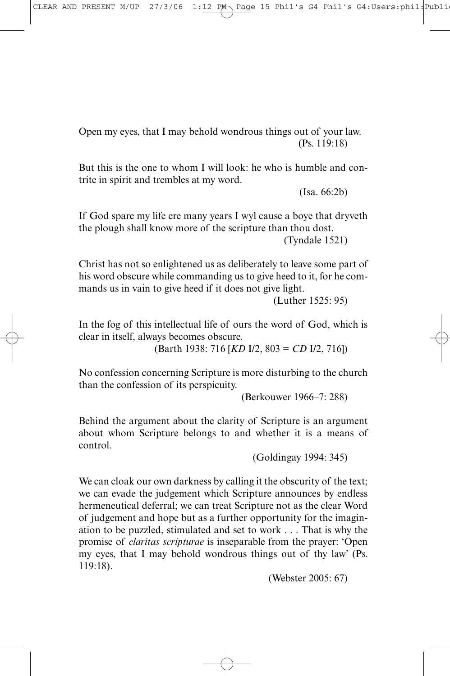Open my eyes, that I may behold wondrous things out of your law. (Ps. 119:18)

But this is the one to whom I will look: he who is humble and contrite in spirit and trembles at my word.

(Isa. 66:2b)

If God spare my life ere many years I wyl cause a boye that dryveth the plough shall know more of the scripture than thou dost.

(Tyndale 1521)

Christ has not so enlightened us as deliberately to leave some part of his word obscure while commanding us to give heed to it, for he commands us in vain to give heed if it does not give light.

(Luther 1525: 95)

In the fog of this intellectual life of ours the word of God, which is clear in itself, always becomes obscure.

(Barth 1938: 716 [*KD* I/2, 803 = *CD* I/2, 716])

No confession concerning Scripture is more disturbing to the church than the confession of its perspicuity.

(Berkouwer 1966–7: 288)

Behind the argument about the clarity of Scripture is an argument about whom Scripture belongs to and whether it is a means of control.

(Goldingay 1994: 345)

We can cloak our own darkness by calling it the obscurity of the text; we can evade the judgement which Scripture announces by endless hermeneutical deferral; we can treat Scripture not as the clear Word of judgement and hope but as a further opportunity for the imagination to be puzzled, stimulated and set to work . . . That is why the promise of *claritas scripturae* is inseparable from the prayer: 'Open my eyes, that I may behold wondrous things out of thy law' (Ps. 119:18).

(Webster 2005: 67)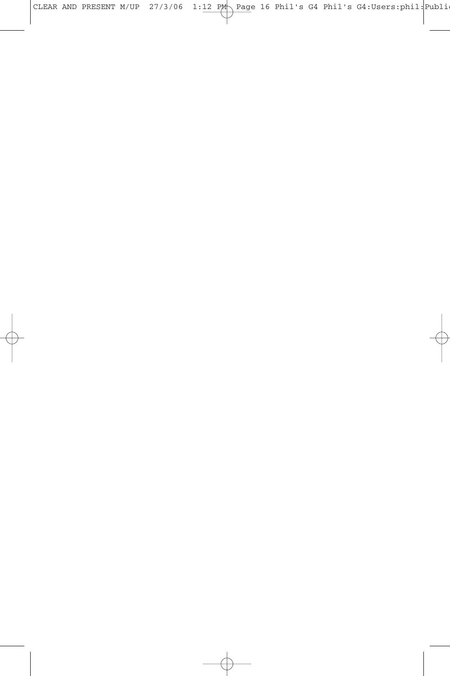CLEAR AND PRESENT M/UP 27/3/06 1:12 PM Page 16 Phil's G4 Phil's G4:Users:phil: Public Public Public Public Public Public Public Public Public Public Public Public Public Public Public Public Public Public Public Public Pu

 $\oplus$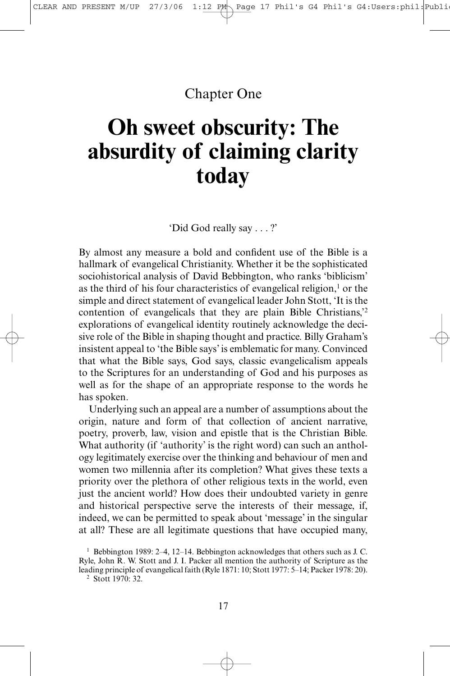## Chapter One

# **Oh sweet obscurity: The absurdity of claiming clarity today**

'Did God really say . . . ?'

By almost any measure a bold and confident use of the Bible is a hallmark of evangelical Christianity. Whether it be the sophisticated sociohistorical analysis of David Bebbington, who ranks 'biblicism' as the third of his four characteristics of evangelical religion, $<sup>1</sup>$  or the</sup> simple and direct statement of evangelical leader John Stott, 'It is the contention of evangelicals that they are plain Bible Christians,'2 explorations of evangelical identity routinely acknowledge the decisive role of the Bible in shaping thought and practice. Billy Graham's insistent appeal to 'the Bible says' is emblematic for many. Convinced that what the Bible says, God says, classic evangelicalism appeals to the Scriptures for an understanding of God and his purposes as well as for the shape of an appropriate response to the words he has spoken.

Underlying such an appeal are a number of assumptions about the origin, nature and form of that collection of ancient narrative, poetry, proverb, law, vision and epistle that is the Christian Bible. What authority (if 'authority' is the right word) can such an anthology legitimately exercise over the thinking and behaviour of men and women two millennia after its completion? What gives these texts a priority over the plethora of other religious texts in the world, even just the ancient world? How does their undoubted variety in genre and historical perspective serve the interests of their message, if, indeed, we can be permitted to speak about 'message' in the singular at all? These are all legitimate questions that have occupied many,

<sup>1</sup> Bebbington 1989: 2–4, 12–14. Bebbington acknowledges that others such as J. C. Ryle, John R. W. Stott and J. I. Packer all mention the authority of Scripture as the leading principle of evangelical faith (Ryle 1871: 10; Stott 1977: 5–14; Packer 1978: 20). <sup>2</sup> Stott 1970: 32.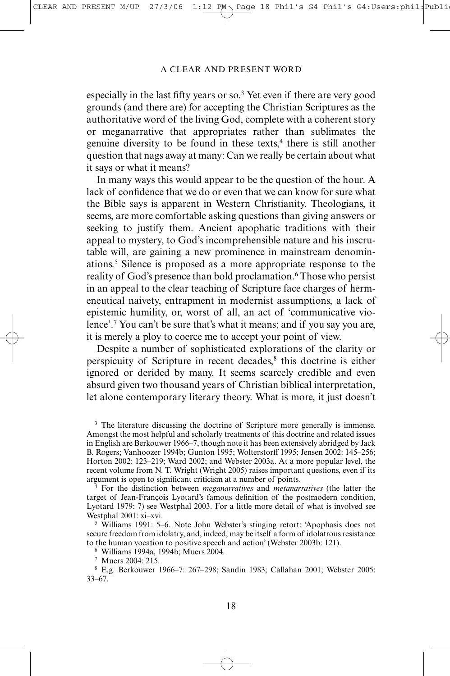especially in the last fifty years or so.<sup>3</sup> Yet even if there are very good grounds (and there are) for accepting the Christian Scriptures as the authoritative word of the living God, complete with a coherent story or meganarrative that appropriates rather than sublimates the genuine diversity to be found in these texts, $4$  there is still another question that nags away at many: Can we really be certain about what it says or what it means?

In many ways this would appear to be the question of the hour. A lack of confidence that we do or even that we can know for sure what the Bible says is apparent in Western Christianity. Theologians, it seems, are more comfortable asking questions than giving answers or seeking to justify them. Ancient apophatic traditions with their appeal to mystery, to God's incomprehensible nature and his inscrutable will, are gaining a new prominence in mainstream denominations.5 Silence is proposed as a more appropriate response to the reality of God's presence than bold proclamation.<sup>6</sup> Those who persist in an appeal to the clear teaching of Scripture face charges of hermeneutical naivety, entrapment in modernist assumptions, a lack of epistemic humility, or, worst of all, an act of 'communicative violence'.7 You can't be sure that's what it means; and if you say you are, it is merely a ploy to coerce me to accept your point of view.

Despite a number of sophisticated explorations of the clarity or perspicuity of Scripture in recent decades, $8$  this doctrine is either ignored or derided by many. It seems scarcely credible and even absurd given two thousand years of Christian biblical interpretation, let alone contemporary literary theory. What is more, it just doesn't

<sup>6</sup> Williams 1994a, 1994b; Muers 2004.

<sup>7</sup> Muers 2004: 215.

<sup>&</sup>lt;sup>3</sup> The literature discussing the doctrine of Scripture more generally is immense. Amongst the most helpful and scholarly treatments of this doctrine and related issues in English are Berkouwer 1966–7, though note it has been extensively abridged by Jack B. Rogers; Vanhoozer 1994b; Gunton 1995; Wolterstorff 1995; Jensen 2002: 145–256; Horton 2002: 123–219; Ward 2002; and Webster 2003a. At a more popular level, the recent volume from N. T. Wright (Wright 2005) raises important questions, even if its argument is open to significant criticism at a number of points.

<sup>4</sup> For the distinction between *meganarratives* and *metanarratives* (the latter the target of Jean-François Lyotard's famous definition of the postmodern condition, Lyotard 1979: 7) see Westphal 2003. For a little more detail of what is involved see Westphal 2001: xi–xvi.

<sup>5</sup> Williams 1991: 5–6. Note John Webster's stinging retort: 'Apophasis does not secure freedom from idolatry, and, indeed, may be itself a form of idolatrous resistance to the human vocation to positive speech and action' (Webster 2003b: 121).

<sup>8</sup> E.g. Berkouwer 1966–7: 267–298; Sandin 1983; Callahan 2001; Webster 2005: 33–67.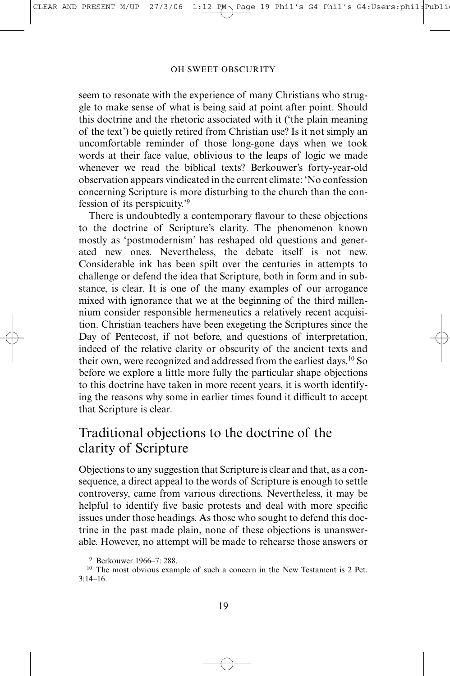seem to resonate with the experience of many Christians who struggle to make sense of what is being said at point after point. Should this doctrine and the rhetoric associated with it ('the plain meaning of the text') be quietly retired from Christian use? Is it not simply an uncomfortable reminder of those long-gone days when we took words at their face value, oblivious to the leaps of logic we made whenever we read the biblical texts? Berkouwer's forty-year-old observation appears vindicated in the current climate: 'No confession concerning Scripture is more disturbing to the church than the confession of its perspicuity.'9

There is undoubtedly a contemporary flavour to these objections to the doctrine of Scripture's clarity. The phenomenon known mostly as 'postmodernism' has reshaped old questions and generated new ones. Nevertheless, the debate itself is not new. Considerable ink has been spilt over the centuries in attempts to challenge or defend the idea that Scripture, both in form and in substance, is clear. It is one of the many examples of our arrogance mixed with ignorance that we at the beginning of the third millennium consider responsible hermeneutics a relatively recent acquisition. Christian teachers have been exegeting the Scriptures since the Day of Pentecost, if not before, and questions of interpretation, indeed of the relative clarity or obscurity of the ancient texts and their own, were recognized and addressed from the earliest days.10 So before we explore a little more fully the particular shape objections to this doctrine have taken in more recent years, it is worth identifying the reasons why some in earlier times found it difficult to accept that Scripture is clear.

## Traditional objections to the doctrine of the clarity of Scripture

Objections to any suggestion that Scripture is clear and that, as a consequence, a direct appeal to the words of Scripture is enough to settle controversy, came from various directions. Nevertheless, it may be helpful to identify five basic protests and deal with more specific issues under those headings. As those who sought to defend this doctrine in the past made plain, none of these objections is unanswerable. However, no attempt will be made to rehearse those answers or

<sup>&</sup>lt;sup>9</sup> Berkouwer 1966–7: 288.

<sup>&</sup>lt;sup>10</sup> The most obvious example of such a concern in the New Testament is 2 Pet.  $3.14 - 16$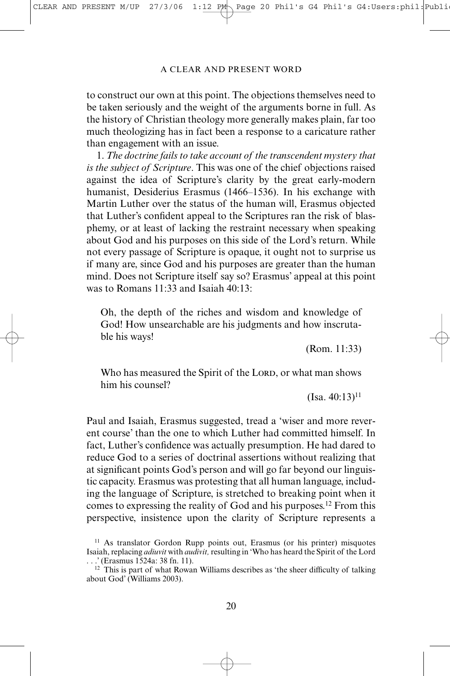to construct our own at this point. The objections themselves need to be taken seriously and the weight of the arguments borne in full. As the history of Christian theology more generally makes plain, far too much theologizing has in fact been a response to a caricature rather than engagement with an issue.

1. *The doctrine fails to take account of the transcendent mystery that is the subject of Scripture*. This was one of the chief objections raised against the idea of Scripture's clarity by the great early-modern humanist, Desiderius Erasmus (1466–1536). In his exchange with Martin Luther over the status of the human will, Erasmus objected that Luther's confident appeal to the Scriptures ran the risk of blasphemy, or at least of lacking the restraint necessary when speaking about God and his purposes on this side of the Lord's return. While not every passage of Scripture is opaque, it ought not to surprise us if many are, since God and his purposes are greater than the human mind. Does not Scripture itself say so? Erasmus' appeal at this point was to Romans 11:33 and Isaiah 40:13:

Oh, the depth of the riches and wisdom and knowledge of God! How unsearchable are his judgments and how inscrutable his ways!

(Rom. 11:33)

Who has measured the Spirit of the LORD, or what man shows him his counsel?

 $(Isa. 40:13)^{11}$ 

Paul and Isaiah, Erasmus suggested, tread a 'wiser and more reverent course' than the one to which Luther had committed himself. In fact, Luther's confidence was actually presumption. He had dared to reduce God to a series of doctrinal assertions without realizing that at significant points God's person and will go far beyond our linguistic capacity. Erasmus was protesting that all human language, including the language of Scripture, is stretched to breaking point when it comes to expressing the reality of God and his purposes.12 From this perspective, insistence upon the clarity of Scripture represents a

<sup>&</sup>lt;sup>11</sup> As translator Gordon Rupp points out, Erasmus (or his printer) misquotes Isaiah, replacing *adiuvit* with *audivit,*resulting in 'Who has heard the Spirit of the Lord ...' (Erasmus 1524a: 38 fn. 11).

<sup>&</sup>lt;sup>12</sup> This is part of what Rowan Williams describes as 'the sheer difficulty of talking about God' (Williams 2003).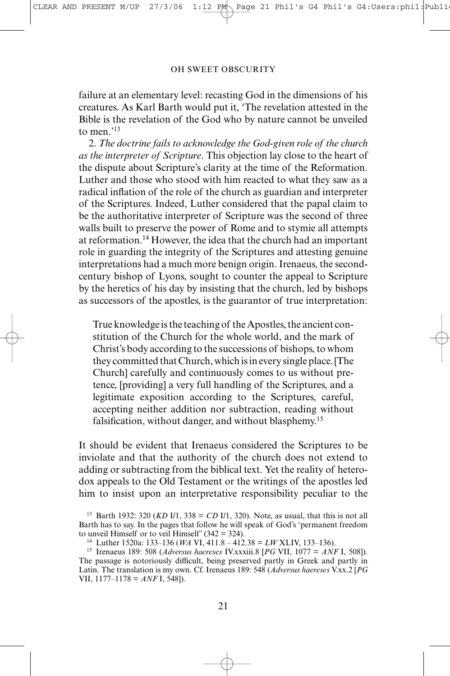failure at an elementary level: recasting God in the dimensions of his creatures. As Karl Barth would put it, 'The revelation attested in the Bible is the revelation of the God who by nature cannot be unveiled to men.'<sup>13</sup>

2. *The doctrine fails to acknowledge the God-given role of the church as the interpreter of Scripture*. This objection lay close to the heart of the dispute about Scripture's clarity at the time of the Reformation. Luther and those who stood with him reacted to what they saw as a radical inflation of the role of the church as guardian and interpreter of the Scriptures. Indeed, Luther considered that the papal claim to be the authoritative interpreter of Scripture was the second of three walls built to preserve the power of Rome and to stymie all attempts at reformation.14 However, the idea that the church had an important role in guarding the integrity of the Scriptures and attesting genuine interpretations had a much more benign origin. Irenaeus, the secondcentury bishop of Lyons, sought to counter the appeal to Scripture by the heretics of his day by insisting that the church, led by bishops as successors of the apostles, is the guarantor of true interpretation:

True knowledge is the teaching of the Apostles, the ancient constitution of the Church for the whole world, and the mark of Christ's body according to the successions of bishops, to whom they committed that Church, which is in every single place. [The Church] carefully and continuously comes to us without pretence, [providing] a very full handling of the Scriptures, and a legitimate exposition according to the Scriptures, careful, accepting neither addition nor subtraction, reading without falsification, without danger, and without blasphemy.15

It should be evident that Irenaeus considered the Scriptures to be inviolate and that the authority of the church does not extend to adding or subtracting from the biblical text. Yet the reality of heterodox appeals to the Old Testament or the writings of the apostles led him to insist upon an interpretative responsibility peculiar to the

<sup>&</sup>lt;sup>13</sup> Barth 1932: 320 (*KD I/1*, 338 = *CD I/1*, 320). Note, as usual, that this is not all Barth has to say. In the pages that follow he will speak of God's 'permanent freedom to unveil Himself or to veil Himself'  $(342 = 324)$ .

<sup>14</sup> Luther 1520a: 133–136 (*WA* VI, 411.8 – 412.38 = *LW* XLIV, 133–136).

<sup>15</sup> Irenaeus 189: 508 (*Adversus haereses* IV.xxxiii.8 [*PG* VII, 1077 = *ANF* I, 508]). The passage is notoriously difficult, being preserved partly in Greek and partly in Latin. The translation is my own. Cf. Irenaeus 189: 548 (*Adversus haereses* V.xx.2 [*PG* VII, 1177–1178 = *ANF* I, 548]).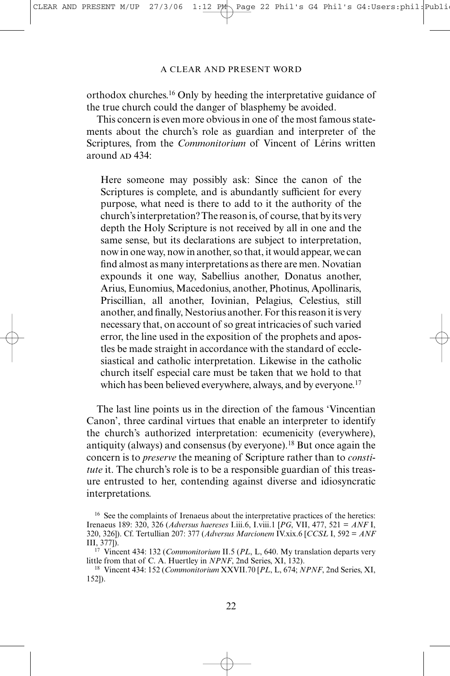CLEAR AND PRESENT M/UP 27/3/06 1:12 PM Page 22 Phil's G4 Phil's G4:Users:phil: Publi

#### A CLEAR AND PRESENT WORD

orthodox churches.16 Only by heeding the interpretative guidance of the true church could the danger of blasphemy be avoided.

This concern is even more obvious in one of the most famous statements about the church's role as guardian and interpreter of the Scriptures, from the *Commonitorium* of Vincent of Lérins written around AD 434:

Here someone may possibly ask: Since the canon of the Scriptures is complete, and is abundantly sufficient for every purpose, what need is there to add to it the authority of the church's interpretation? The reason is, of course, that by its very depth the Holy Scripture is not received by all in one and the same sense, but its declarations are subject to interpretation, now in one way, now in another, so that, it would appear, we can find almost as many interpretations as there are men. Novatian expounds it one way, Sabellius another, Donatus another, Arius, Eunomius, Macedonius, another, Photinus, Apollinaris, Priscillian, all another, Iovinian, Pelagius, Celestius, still another, and finally, Nestorius another. For this reason it is very necessary that, on account of so great intricacies of such varied error, the line used in the exposition of the prophets and apostles be made straight in accordance with the standard of ecclesiastical and catholic interpretation. Likewise in the catholic church itself especial care must be taken that we hold to that which has been believed everywhere, always, and by everyone.<sup>17</sup>

The last line points us in the direction of the famous 'Vincentian Canon', three cardinal virtues that enable an interpreter to identify the church's authorized interpretation: ecumenicity (everywhere), antiquity (always) and consensus (by everyone).18 But once again the concern is to *preserve* the meaning of Scripture rather than to *constitute* it. The church's role is to be a responsible guardian of this treasure entrusted to her, contending against diverse and idiosyncratic interpretations.

<sup>&</sup>lt;sup>16</sup> See the complaints of Irenaeus about the interpretative practices of the heretics: Irenaeus 189: 320, 326 (*Adversus haereses* I.iii.6, I.viii.1 [*PG*, VII, 477, 521 = *ANF* I, 320, 326]). Cf. Tertullian 207: 377 (*Adversus Marcionem* IV.xix.6 [*CCSL* I, 592 = *ANF* III, 377]).

<sup>17</sup> Vincent 434: 132 (*Commonitorium* II.5 (*PL*, L, 640. My translation departs very little from that of C. A. Huertley in *NPNF*, 2nd Series, XI, 132).

<sup>18</sup> Vincent 434: 152 (*Commonitorium* XXVII.70 [*PL*, L, 674; *NPNF*, 2nd Series, XI, 152]).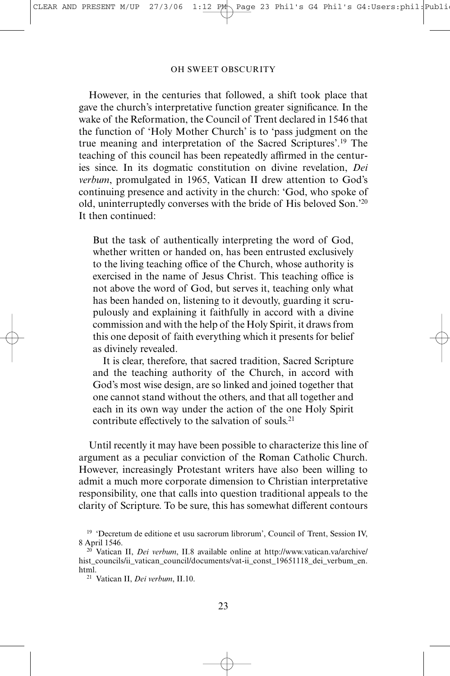However, in the centuries that followed, a shift took place that gave the church's interpretative function greater significance. In the wake of the Reformation, the Council of Trent declared in 1546 that the function of 'Holy Mother Church' is to 'pass judgment on the true meaning and interpretation of the Sacred Scriptures'.19 The teaching of this council has been repeatedly affirmed in the centuries since. In its dogmatic constitution on divine revelation, *Dei verbum*, promulgated in 1965, Vatican II drew attention to God's continuing presence and activity in the church: 'God, who spoke of old, uninterruptedly converses with the bride of His beloved Son.'20 It then continued:

But the task of authentically interpreting the word of God, whether written or handed on, has been entrusted exclusively to the living teaching office of the Church, whose authority is exercised in the name of Jesus Christ. This teaching office is not above the word of God, but serves it, teaching only what has been handed on, listening to it devoutly, guarding it scrupulously and explaining it faithfully in accord with a divine commission and with the help of the Holy Spirit, it draws from this one deposit of faith everything which it presents for belief as divinely revealed.

It is clear, therefore, that sacred tradition, Sacred Scripture and the teaching authority of the Church, in accord with God's most wise design, are so linked and joined together that one cannot stand without the others, and that all together and each in its own way under the action of the one Holy Spirit contribute effectively to the salvation of souls.21

Until recently it may have been possible to characterize this line of argument as a peculiar conviction of the Roman Catholic Church. However, increasingly Protestant writers have also been willing to admit a much more corporate dimension to Christian interpretative responsibility, one that calls into question traditional appeals to the clarity of Scripture. To be sure, this has somewhat different contours

<sup>&</sup>lt;sup>19</sup> 'Decretum de editione et usu sacrorum librorum', Council of Trent, Session IV, 8 April 1546.

<sup>&</sup>lt;sup>0</sup> Vatican II, *Dei verbum*, II.8 available online at http://www.vatican.va/archive/ hist\_councils/ii\_vatican\_council/documents/vat-ii\_const\_19651118\_dei\_verbum\_en. html.

<sup>21</sup> Vatican II, *Dei verbum*, II.10.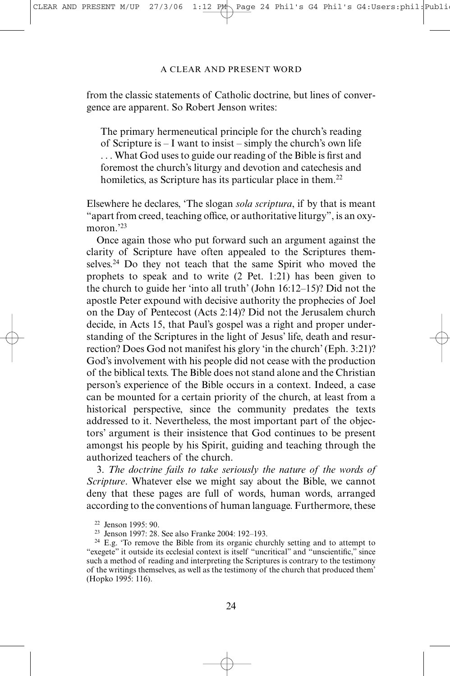from the classic statements of Catholic doctrine, but lines of convergence are apparent. So Robert Jenson writes:

The primary hermeneutical principle for the church's reading of Scripture is – I want to insist – simply the church's own life . . . What God uses to guide our reading of the Bible is first and foremost the church's liturgy and devotion and catechesis and homiletics, as Scripture has its particular place in them.<sup>22</sup>

Elsewhere he declares, 'The slogan *sola scriptura*, if by that is meant "apart from creed, teaching office, or authoritative liturgy", is an oxymoron.'23

Once again those who put forward such an argument against the clarity of Scripture have often appealed to the Scriptures themselves.<sup>24</sup> Do they not teach that the same Spirit who moved the prophets to speak and to write (2 Pet. 1:21) has been given to the church to guide her 'into all truth' (John 16:12–15)? Did not the apostle Peter expound with decisive authority the prophecies of Joel on the Day of Pentecost (Acts 2:14)? Did not the Jerusalem church decide, in Acts 15, that Paul's gospel was a right and proper understanding of the Scriptures in the light of Jesus' life, death and resurrection? Does God not manifest his glory 'in the church' (Eph. 3:21)? God's involvement with his people did not cease with the production of the biblical texts. The Bible does not stand alone and the Christian person's experience of the Bible occurs in a context. Indeed, a case can be mounted for a certain priority of the church, at least from a historical perspective, since the community predates the texts addressed to it. Nevertheless, the most important part of the objectors' argument is their insistence that God continues to be present amongst his people by his Spirit, guiding and teaching through the authorized teachers of the church.

3. *The doctrine fails to take seriously the nature of the words of Scripture*. Whatever else we might say about the Bible, we cannot deny that these pages are full of words, human words, arranged according to the conventions of human language. Furthermore, these

<sup>22</sup> Jenson 1995: 90.

<sup>23</sup> Jenson 1997: 28. See also Franke 2004: 192–193.

<sup>&</sup>lt;sup>24</sup> E.g. 'To remove the Bible from its organic churchly setting and to attempt to "exegete" it outside its ecclesial context is itself "uncritical" and "unscientific," since such a method of reading and interpreting the Scriptures is contrary to the testimony of the writings themselves, as well as the testimony of the church that produced them' (Hopko 1995: 116).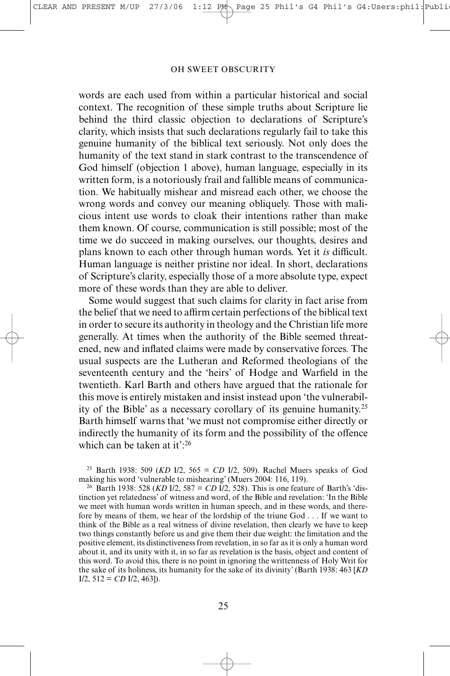words are each used from within a particular historical and social context. The recognition of these simple truths about Scripture lie behind the third classic objection to declarations of Scripture's clarity, which insists that such declarations regularly fail to take this genuine humanity of the biblical text seriously. Not only does the humanity of the text stand in stark contrast to the transcendence of God himself (objection 1 above), human language, especially in its written form, is a notoriously frail and fallible means of communication. We habitually mishear and misread each other, we choose the wrong words and convey our meaning obliquely. Those with malicious intent use words to cloak their intentions rather than make them known. Of course, communication is still possible; most of the time we do succeed in making ourselves, our thoughts, desires and plans known to each other through human words. Yet it *is* difficult. Human language is neither pristine nor ideal. In short, declarations of Scripture's clarity, especially those of a more absolute type, expect more of these words than they are able to deliver.

Some would suggest that such claims for clarity in fact arise from the belief that we need to affirm certain perfections of the biblical text in order to secure its authority in theology and the Christian life more generally. At times when the authority of the Bible seemed threatened, new and inflated claims were made by conservative forces. The usual suspects are the Lutheran and Reformed theologians of the seventeenth century and the 'heirs' of Hodge and Warfield in the twentieth. Karl Barth and others have argued that the rationale for this move is entirely mistaken and insist instead upon 'the vulnerability of the Bible' as a necessary corollary of its genuine humanity.25 Barth himself warns that 'we must not compromise either directly or indirectly the humanity of its form and the possibility of the offence which can be taken at it':26

<sup>25</sup> Barth 1938: 509 (*KD* I/2, 565 = *CD* I/2, 509). Rachel Muers speaks of God making his word 'vulnerable to mishearing' (Muers 2004: 116, 119).

<sup>26</sup> Barth 1938: 528 (*KD* I/2, 587 = *CD* I/2, 528). This is one feature of Barth's 'distinction yet relatedness' of witness and word, of the Bible and revelation: 'In the Bible we meet with human words written in human speech, and in these words, and therefore by means of them, we hear of the lordship of the triune God . . . If we want to think of the Bible as a real witness of divine revelation, then clearly we have to keep two things constantly before us and give them their due weight: the limitation and the positive element, its distinctiveness from revelation, in so far as it is only a human word about it, and its unity with it, in so far as revelation is the basis, object and content of this word. To avoid this, there is no point in ignoring the writtenness of Holy Writ for the sake of its holiness, its humanity for the sake of its divinity' (Barth 1938: 463 [*KD*  $I/2$ ,  $512 = CD I/2$ ,  $463$ .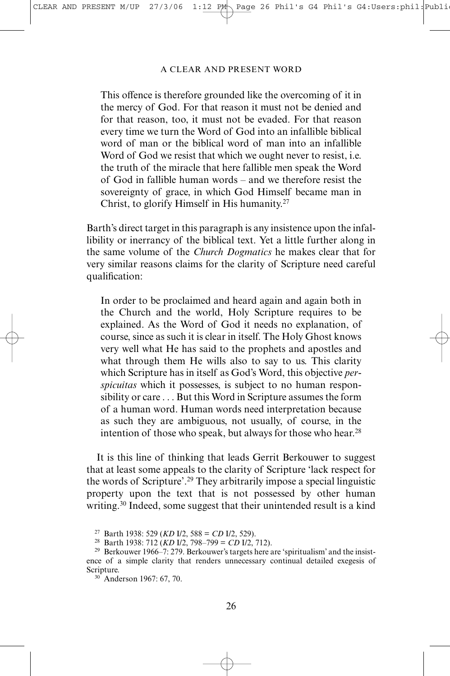This offence is therefore grounded like the overcoming of it in the mercy of God. For that reason it must not be denied and for that reason, too, it must not be evaded. For that reason every time we turn the Word of God into an infallible biblical word of man or the biblical word of man into an infallible Word of God we resist that which we ought never to resist, i.e. the truth of the miracle that here fallible men speak the Word of God in fallible human words – and we therefore resist the sovereignty of grace, in which God Himself became man in Christ, to glorify Himself in His humanity.27

Barth's direct target in this paragraph is any insistence upon the infallibility or inerrancy of the biblical text. Yet a little further along in the same volume of the *Church Dogmatics* he makes clear that for very similar reasons claims for the clarity of Scripture need careful qualification:

In order to be proclaimed and heard again and again both in the Church and the world, Holy Scripture requires to be explained. As the Word of God it needs no explanation, of course, since as such it is clear in itself. The Holy Ghost knows very well what He has said to the prophets and apostles and what through them He wills also to say to us. This clarity which Scripture has in itself as God's Word, this objective *perspicuitas* which it possesses, is subject to no human responsibility or care ... But this Word in Scripture assumes the form of a human word. Human words need interpretation because as such they are ambiguous, not usually, of course, in the intention of those who speak, but always for those who hear.<sup>28</sup>

It is this line of thinking that leads Gerrit Berkouwer to suggest that at least some appeals to the clarity of Scripture 'lack respect for the words of Scripture'.29 They arbitrarily impose a special linguistic property upon the text that is not possessed by other human writing.30 Indeed, some suggest that their unintended result is a kind

<sup>27</sup> Barth 1938: 529 (*KD* I/2, 588 = *CD* I/2, 529).

<sup>28</sup> Barth 1938: 712 (*KD* I/2, 798–799 = *CD* I/2, 712).

<sup>29</sup> Berkouwer 1966–7: 279. Berkouwer's targets here are 'spiritualism' and the insistence of a simple clarity that renders unnecessary continual detailed exegesis of Scripture.

<sup>&</sup>lt;sup>30</sup> Anderson 1967: 67, 70.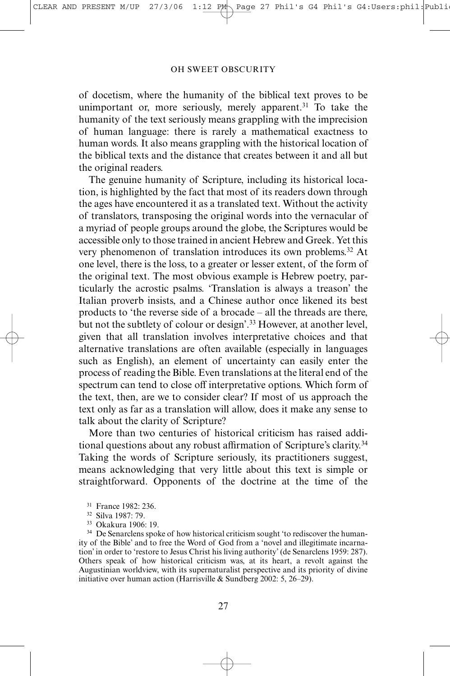CLEAR AND PRESENT M/UP 27/3/06 1:12 PM Page 27 Phil's G4 Phil's G4:Users:phil: Publi

#### OH SWEET OBSCURITY

of docetism, where the humanity of the biblical text proves to be unimportant or, more seriously, merely apparent.<sup>31</sup> To take the humanity of the text seriously means grappling with the imprecision of human language: there is rarely a mathematical exactness to human words. It also means grappling with the historical location of the biblical texts and the distance that creates between it and all but the original readers.

The genuine humanity of Scripture, including its historical location, is highlighted by the fact that most of its readers down through the ages have encountered it as a translated text. Without the activity of translators, transposing the original words into the vernacular of a myriad of people groups around the globe, the Scriptures would be accessible only to those trained in ancient Hebrew and Greek. Yet this very phenomenon of translation introduces its own problems.32 At one level, there is the loss, to a greater or lesser extent, of the form of the original text. The most obvious example is Hebrew poetry, particularly the acrostic psalms. 'Translation is always a treason' the Italian proverb insists, and a Chinese author once likened its best products to 'the reverse side of a brocade – all the threads are there, but not the subtlety of colour or design'.33 However, at another level, given that all translation involves interpretative choices and that alternative translations are often available (especially in languages such as English), an element of uncertainty can easily enter the process of reading the Bible. Even translations at the literal end of the spectrum can tend to close off interpretative options. Which form of the text, then, are we to consider clear? If most of us approach the text only as far as a translation will allow, does it make any sense to talk about the clarity of Scripture?

More than two centuries of historical criticism has raised additional questions about any robust affirmation of Scripture's clarity.34 Taking the words of Scripture seriously, its practitioners suggest, means acknowledging that very little about this text is simple or straightforward. Opponents of the doctrine at the time of the

<sup>33</sup> Okakura 1906: 19.

<sup>34</sup> De Senarclens spoke of how historical criticism sought 'to rediscover the humanity of the Bible' and to free the Word of God from a 'novel and illegitimate incarnation' in order to 'restore to Jesus Christ his living authority' (de Senarclens 1959: 287). Others speak of how historical criticism was, at its heart, a revolt against the Augustinian worldview, with its supernaturalist perspective and its priority of divine initiative over human action (Harrisville & Sundberg 2002: 5, 26–29).

<sup>31</sup> France 1982: 236.

<sup>32</sup> Silva 1987: 79.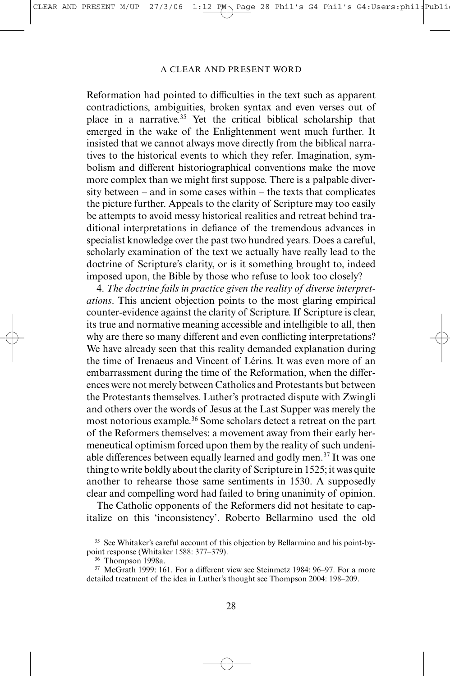Reformation had pointed to difficulties in the text such as apparent contradictions, ambiguities, broken syntax and even verses out of place in a narrative.35 Yet the critical biblical scholarship that emerged in the wake of the Enlightenment went much further. It insisted that we cannot always move directly from the biblical narratives to the historical events to which they refer. Imagination, symbolism and different historiographical conventions make the move more complex than we might first suppose. There is a palpable diversity between – and in some cases within – the texts that complicates the picture further. Appeals to the clarity of Scripture may too easily be attempts to avoid messy historical realities and retreat behind traditional interpretations in defiance of the tremendous advances in specialist knowledge over the past two hundred years. Does a careful, scholarly examination of the text we actually have really lead to the doctrine of Scripture's clarity, or is it something brought to, indeed imposed upon, the Bible by those who refuse to look too closely?

4. *The doctrine fails in practice given the reality of diverse interpretations*. This ancient objection points to the most glaring empirical counter-evidence against the clarity of Scripture. If Scripture is clear, its true and normative meaning accessible and intelligible to all, then why are there so many different and even conflicting interpretations? We have already seen that this reality demanded explanation during the time of Irenaeus and Vincent of Lérins. It was even more of an embarrassment during the time of the Reformation, when the differences were not merely between Catholics and Protestants but between the Protestants themselves. Luther's protracted dispute with Zwingli and others over the words of Jesus at the Last Supper was merely the most notorious example.36 Some scholars detect a retreat on the part of the Reformers themselves: a movement away from their early hermeneutical optimism forced upon them by the reality of such undeniable differences between equally learned and godly men.37 It was one thing to write boldly about the clarity of Scripture in 1525; it was quite another to rehearse those same sentiments in 1530. A supposedly clear and compelling word had failed to bring unanimity of opinion.

The Catholic opponents of the Reformers did not hesitate to capitalize on this 'inconsistency'. Roberto Bellarmino used the old

<sup>35</sup> See Whitaker's careful account of this objection by Bellarmino and his point-bypoint response (Whitaker 1588: 377–379).

<sup>36</sup> Thompson 1998a.

<sup>&</sup>lt;sup>37</sup> McGrath 1999: 161. For a different view see Steinmetz 1984: 96–97. For a more detailed treatment of the idea in Luther's thought see Thompson 2004: 198–209.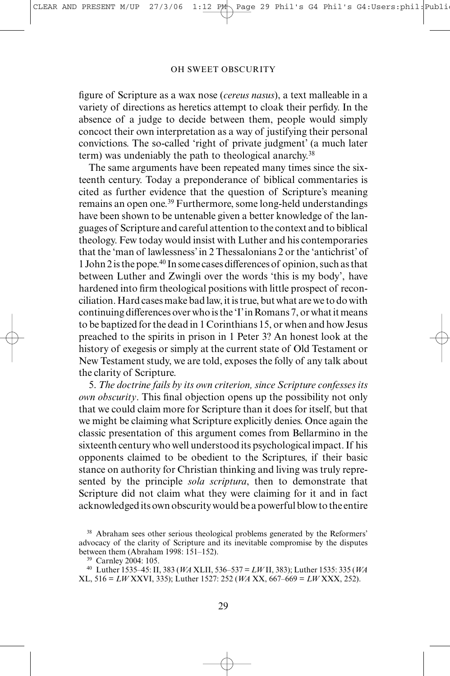figure of Scripture as a wax nose (*cereus nasus*), a text malleable in a variety of directions as heretics attempt to cloak their perfidy. In the absence of a judge to decide between them, people would simply concoct their own interpretation as a way of justifying their personal convictions. The so-called 'right of private judgment' (a much later term) was undeniably the path to theological anarchy.38

The same arguments have been repeated many times since the sixteenth century. Today a preponderance of biblical commentaries is cited as further evidence that the question of Scripture's meaning remains an open one.39 Furthermore, some long-held understandings have been shown to be untenable given a better knowledge of the languages of Scripture and careful attention to the context and to biblical theology. Few today would insist with Luther and his contemporaries that the 'man of lawlessness' in 2 Thessalonians 2 or the 'antichrist' of 1 John 2 is the pope.40 In some cases differences of opinion, such as that between Luther and Zwingli over the words 'this is my body', have hardened into firm theological positions with little prospect of reconciliation. Hard cases make bad law, it is true, but what are we to do with continuing differences over who is the 'I'in Romans 7, or what it means to be baptized for the dead in 1 Corinthians 15, or when and how Jesus preached to the spirits in prison in 1 Peter 3? An honest look at the history of exegesis or simply at the current state of Old Testament or New Testament study, we are told, exposes the folly of any talk about the clarity of Scripture.

5. *The doctrine fails by its own criterion, since Scripture confesses its own obscurity*. This final objection opens up the possibility not only that we could claim more for Scripture than it does for itself, but that we might be claiming what Scripture explicitly denies. Once again the classic presentation of this argument comes from Bellarmino in the sixteenth century who well understood its psychological impact. If his opponents claimed to be obedient to the Scriptures, if their basic stance on authority for Christian thinking and living was truly represented by the principle *sola scriptura*, then to demonstrate that Scripture did not claim what they were claiming for it and in fact acknowledged its own obscurity would be a powerful blow to the entire

<sup>38</sup> Abraham sees other serious theological problems generated by the Reformers' advocacy of the clarity of Scripture and its inevitable compromise by the disputes between them (Abraham 1998: 151–152).

<sup>39</sup> Carnley 2004: 105.

<sup>40</sup> Luther 1535–45: II, 383 (*WA* XLII, 536–537 = *LW* II, 383); Luther 1535: 335 (*WA* XL, 516 = *LW* XXVI, 335); Luther 1527: 252 (*WA* XX, 667–669 = *LW* XXX, 252).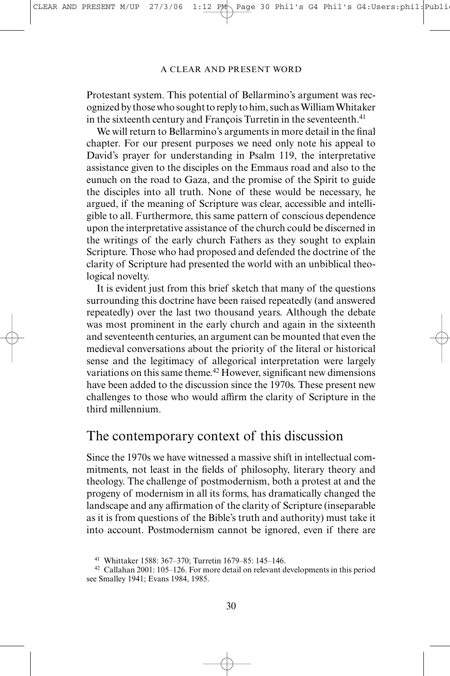CLEAR AND PRESENT M/UP 27/3/06 1:12 PM Page 30 Phil's G4 Phil's G4:Users:phil: Publi

#### A CLEAR AND PRESENT WORD

Protestant system. This potential of Bellarmino's argument was recognized by those who sought to reply to him, such as William Whitaker in the sixteenth century and François Turretin in the seventeenth.<sup>41</sup>

We will return to Bellarmino's arguments in more detail in the final chapter. For our present purposes we need only note his appeal to David's prayer for understanding in Psalm 119, the interpretative assistance given to the disciples on the Emmaus road and also to the eunuch on the road to Gaza, and the promise of the Spirit to guide the disciples into all truth. None of these would be necessary, he argued, if the meaning of Scripture was clear, accessible and intelligible to all. Furthermore, this same pattern of conscious dependence upon the interpretative assistance of the church could be discerned in the writings of the early church Fathers as they sought to explain Scripture. Those who had proposed and defended the doctrine of the clarity of Scripture had presented the world with an unbiblical theological novelty.

It is evident just from this brief sketch that many of the questions surrounding this doctrine have been raised repeatedly (and answered repeatedly) over the last two thousand years. Although the debate was most prominent in the early church and again in the sixteenth and seventeenth centuries, an argument can be mounted that even the medieval conversations about the priority of the literal or historical sense and the legitimacy of allegorical interpretation were largely variations on this same theme.42 However, significant new dimensions have been added to the discussion since the 1970s. These present new challenges to those who would affirm the clarity of Scripture in the third millennium.

## The contemporary context of this discussion

Since the 1970s we have witnessed a massive shift in intellectual commitments, not least in the fields of philosophy, literary theory and theology. The challenge of postmodernism, both a protest at and the progeny of modernism in all its forms, has dramatically changed the landscape and any affirmation of the clarity of Scripture (inseparable as it is from questions of the Bible's truth and authority) must take it into account. Postmodernism cannot be ignored, even if there are

<sup>41</sup> Whittaker 1588: 367–370; Turretin 1679–85: 145–146.

<sup>42</sup> Callahan 2001: 105–126. For more detail on relevant developments in this period see Smalley 1941; Evans 1984, 1985.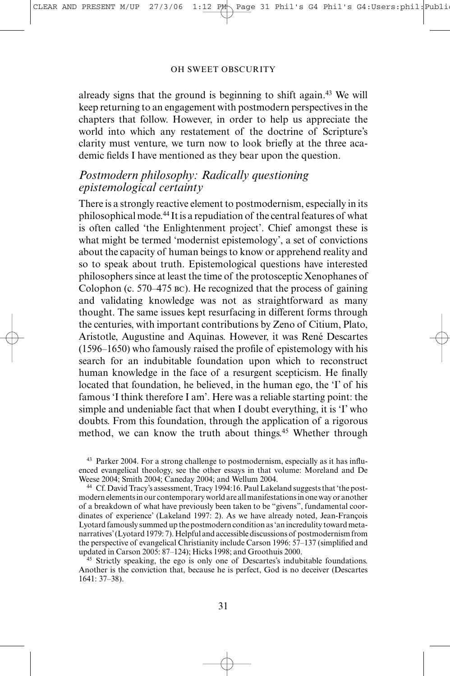already signs that the ground is beginning to shift again.43 We will keep returning to an engagement with postmodern perspectives in the chapters that follow. However, in order to help us appreciate the world into which any restatement of the doctrine of Scripture's clarity must venture, we turn now to look briefly at the three academic fields I have mentioned as they bear upon the question.

### *Postmodern philosophy: Radically questioning epistemological certainty*

There is a strongly reactive element to postmodernism, especially in its philosophical mode.44 It is a repudiation of the central features of what is often called 'the Enlightenment project'. Chief amongst these is what might be termed 'modernist epistemology', a set of convictions about the capacity of human beings to know or apprehend reality and so to speak about truth. Epistemological questions have interested philosophers since at least the time of the protosceptic Xenophanes of Colophon (c.  $570-475$  BC). He recognized that the process of gaining and validating knowledge was not as straightforward as many thought. The same issues kept resurfacing in different forms through the centuries, with important contributions by Zeno of Citium, Plato, Aristotle, Augustine and Aquinas. However, it was René Descartes (1596–1650) who famously raised the profile of epistemology with his search for an indubitable foundation upon which to reconstruct human knowledge in the face of a resurgent scepticism. He finally located that foundation, he believed, in the human ego, the 'I' of his famous 'I think therefore I am'. Here was a reliable starting point: the simple and undeniable fact that when I doubt everything, it is 'I' who doubts. From this foundation, through the application of a rigorous method, we can know the truth about things.<sup>45</sup> Whether through

<sup>43</sup> Parker 2004. For a strong challenge to postmodernism, especially as it has influenced evangelical theology, see the other essays in that volume: Moreland and De Weese 2004; Smith 2004; Caneday 2004; and Wellum 2004.

<sup>44</sup> Cf. David Tracy's assessment, Tracy 1994:16. Paul Lakeland suggests that 'the postmodern elements in our contemporary world are all manifestations in one way or another of a breakdown of what have previously been taken to be "givens", fundamental coordinates of experience' (Lakeland 1997: 2). As we have already noted, Jean-François Lyotard famously summed up the postmodern condition as 'an incredulity toward metanarratives'(Lyotard 1979: 7). Helpful and accessible discussions of postmodernism from the perspective of evangelical Christianity include Carson 1996: 57–137 (simplified and updated in Carson 2005: 87–124); Hicks 1998; and Groothuis 2000.

<sup>45</sup> Strictly speaking, the ego is only one of Descartes's indubitable foundations. Another is the conviction that, because he is perfect, God is no deceiver (Descartes 1641: 37–38).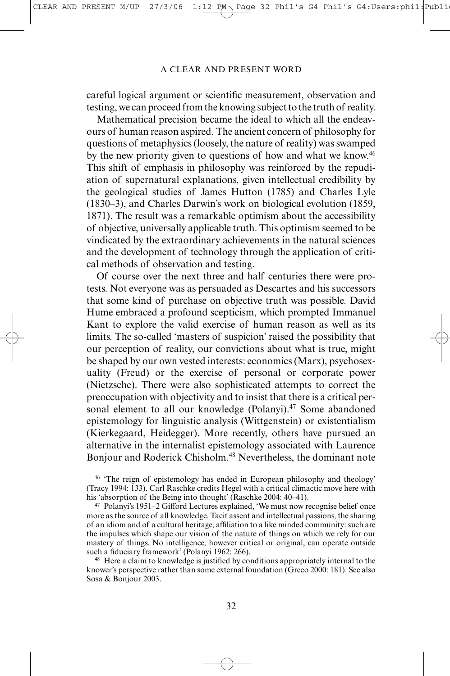careful logical argument or scientific measurement, observation and testing, we can proceed from the knowing subject to the truth of reality.

Mathematical precision became the ideal to which all the endeavours of human reason aspired. The ancient concern of philosophy for questions of metaphysics (loosely, the nature of reality) was swamped by the new priority given to questions of how and what we know.46 This shift of emphasis in philosophy was reinforced by the repudiation of supernatural explanations, given intellectual credibility by the geological studies of James Hutton (1785) and Charles Lyle (1830–3), and Charles Darwin's work on biological evolution (1859, 1871). The result was a remarkable optimism about the accessibility of objective, universally applicable truth. This optimism seemed to be vindicated by the extraordinary achievements in the natural sciences and the development of technology through the application of critical methods of observation and testing.

Of course over the next three and half centuries there were protests. Not everyone was as persuaded as Descartes and his successors that some kind of purchase on objective truth was possible. David Hume embraced a profound scepticism, which prompted Immanuel Kant to explore the valid exercise of human reason as well as its limits. The so-called 'masters of suspicion' raised the possibility that our perception of reality, our convictions about what is true, might be shaped by our own vested interests: economics (Marx), psychosexuality (Freud) or the exercise of personal or corporate power (Nietzsche). There were also sophisticated attempts to correct the preoccupation with objectivity and to insist that there is a critical personal element to all our knowledge (Polanyi).<sup>47</sup> Some abandoned epistemology for linguistic analysis (Wittgenstein) or existentialism (Kierkegaard, Heidegger). More recently, others have pursued an alternative in the internalist epistemology associated with Laurence Bonjour and Roderick Chisholm.<sup>48</sup> Nevertheless, the dominant note

<sup>&</sup>lt;sup>46</sup> 'The reign of epistemology has ended in European philosophy and theology' (Tracy 1994: 133). Carl Raschke credits Hegel with a critical climactic move here with his 'absorption of the Being into thought' (Raschke 2004: 40–41).

<sup>47</sup> Polanyi's 1951–2 Gifford Lectures explained, 'We must now recognise belief once more as the source of all knowledge. Tacit assent and intellectual passions, the sharing of an idiom and of a cultural heritage, affiliation to a like minded community: such are the impulses which shape our vision of the nature of things on which we rely for our mastery of things. No intelligence, however critical or original, can operate outside such a fiduciary framework' (Polanyi 1962: 266).

<sup>48</sup> Here a claim to knowledge is justified by conditions appropriately internal to the knower's perspective rather than some external foundation (Greco 2000: 181). See also Sosa & Bonjour 2003.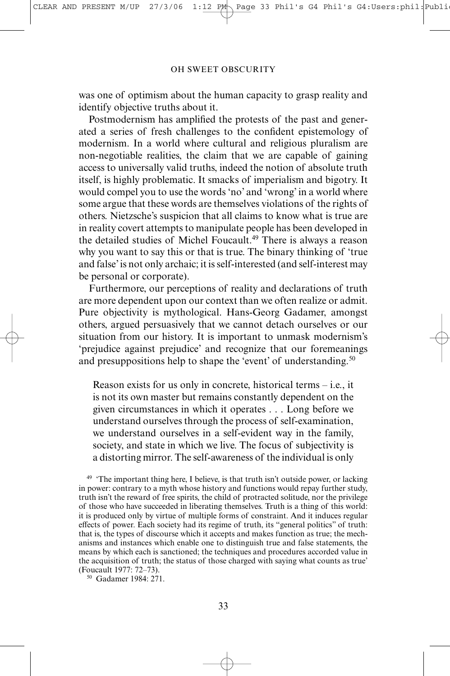CLEAR AND PRESENT M/UP  $27/3/06$  1:12 PM Page 33 Phil's G4 Phil's G4:Users:phil: Publi

#### OH SWEET OBSCURITY

was one of optimism about the human capacity to grasp reality and identify objective truths about it.

Postmodernism has amplified the protests of the past and generated a series of fresh challenges to the confident epistemology of modernism. In a world where cultural and religious pluralism are non-negotiable realities, the claim that we are capable of gaining access to universally valid truths, indeed the notion of absolute truth itself, is highly problematic. It smacks of imperialism and bigotry. It would compel you to use the words 'no' and 'wrong' in a world where some argue that these words are themselves violations of the rights of others. Nietzsche's suspicion that all claims to know what is true are in reality covert attempts to manipulate people has been developed in the detailed studies of Michel Foucault.49 There is always a reason why you want to say this or that is true. The binary thinking of 'true and false' is not only archaic; it is self-interested (and self-interest may be personal or corporate).

Furthermore, our perceptions of reality and declarations of truth are more dependent upon our context than we often realize or admit. Pure objectivity is mythological. Hans-Georg Gadamer, amongst others, argued persuasively that we cannot detach ourselves or our situation from our history. It is important to unmask modernism's 'prejudice against prejudice' and recognize that our foremeanings and presuppositions help to shape the 'event' of understanding.<sup>50</sup>

Reason exists for us only in concrete, historical terms – i.e., it is not its own master but remains constantly dependent on the given circumstances in which it operates ... Long before we understand ourselves through the process of self-examination, we understand ourselves in a self-evident way in the family, society, and state in which we live. The focus of subjectivity is a distorting mirror. The self-awareness of the individual is only

<sup>49</sup> 'The important thing here, I believe, is that truth isn't outside power, or lacking in power: contrary to a myth whose history and functions would repay further study, truth isn't the reward of free spirits, the child of protracted solitude, nor the privilege of those who have succeeded in liberating themselves. Truth is a thing of this world: it is produced only by virtue of multiple forms of constraint. And it induces regular effects of power. Each society had its regime of truth, its "general politics" of truth: that is, the types of discourse which it accepts and makes function as true; the mechanisms and instances which enable one to distinguish true and false statements, the means by which each is sanctioned; the techniques and procedures accorded value in the acquisition of truth; the status of those charged with saying what counts as true' (Foucault 1977: 72–73).

<sup>50</sup> Gadamer 1984: 271.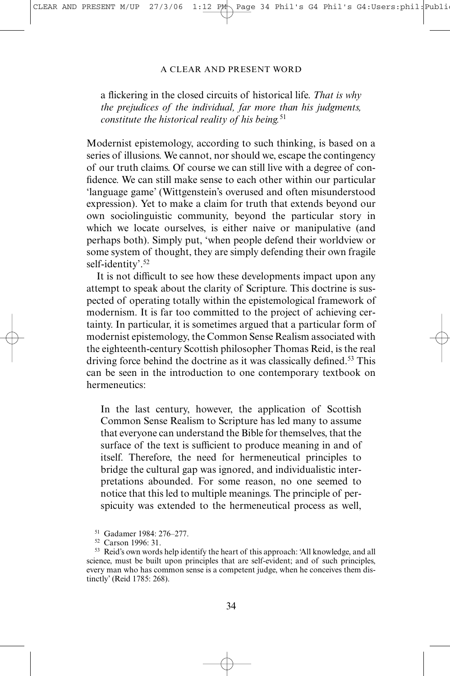a flickering in the closed circuits of historical life. *That is why the prejudices of the individual, far more than his judgments, constitute the historical reality of his being.*<sup>51</sup>

Modernist epistemology, according to such thinking, is based on a series of illusions. We cannot, nor should we, escape the contingency of our truth claims. Of course we can still live with a degree of confidence. We can still make sense to each other within our particular 'language game' (Wittgenstein's overused and often misunderstood expression). Yet to make a claim for truth that extends beyond our own sociolinguistic community, beyond the particular story in which we locate ourselves, is either naive or manipulative (and perhaps both). Simply put, 'when people defend their worldview or some system of thought, they are simply defending their own fragile self-identity'.52

It is not difficult to see how these developments impact upon any attempt to speak about the clarity of Scripture. This doctrine is suspected of operating totally within the epistemological framework of modernism. It is far too committed to the project of achieving certainty. In particular, it is sometimes argued that a particular form of modernist epistemology, the Common Sense Realism associated with the eighteenth-century Scottish philosopher Thomas Reid, is the real driving force behind the doctrine as it was classically defined.53 This can be seen in the introduction to one contemporary textbook on hermeneutics:

In the last century, however, the application of Scottish Common Sense Realism to Scripture has led many to assume that everyone can understand the Bible for themselves, that the surface of the text is sufficient to produce meaning in and of itself. Therefore, the need for hermeneutical principles to bridge the cultural gap was ignored, and individualistic interpretations abounded. For some reason, no one seemed to notice that this led to multiple meanings. The principle of perspicuity was extended to the hermeneutical process as well,

<sup>51</sup> Gadamer 1984: 276–277.

<sup>52</sup> Carson 1996: 31.

<sup>53</sup> Reid's own words help identify the heart of this approach: 'All knowledge, and all science, must be built upon principles that are self-evident; and of such principles, every man who has common sense is a competent judge, when he conceives them distinctly' (Reid 1785: 268).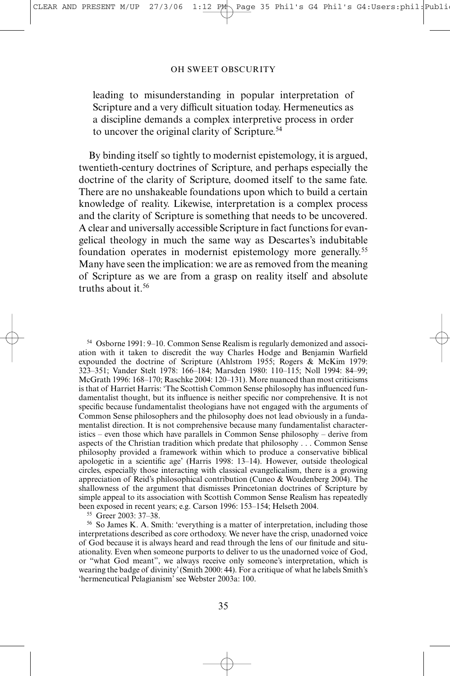leading to misunderstanding in popular interpretation of Scripture and a very difficult situation today. Hermeneutics as a discipline demands a complex interpretive process in order to uncover the original clarity of Scripture.54

By binding itself so tightly to modernist epistemology, it is argued, twentieth-century doctrines of Scripture, and perhaps especially the doctrine of the clarity of Scripture, doomed itself to the same fate. There are no unshakeable foundations upon which to build a certain knowledge of reality. Likewise, interpretation is a complex process and the clarity of Scripture is something that needs to be uncovered. A clear and universally accessible Scripture in fact functions for evangelical theology in much the same way as Descartes's indubitable foundation operates in modernist epistemology more generally.55 Many have seen the implication: we are as removed from the meaning of Scripture as we are from a grasp on reality itself and absolute truths about it.<sup>56</sup>

<sup>54</sup> Osborne 1991: 9–10. Common Sense Realism is regularly demonized and association with it taken to discredit the way Charles Hodge and Benjamin Warfield expounded the doctrine of Scripture (Ahlstrom 1955; Rogers & McKim 1979: 323–351; Vander Stelt 1978: 166–184; Marsden 1980: 110–115; Noll 1994: 84–99; McGrath 1996: 168–170; Raschke 2004: 120–131). More nuanced than most criticisms is that of Harriet Harris: 'The Scottish Common Sense philosophy has influenced fundamentalist thought, but its influence is neither specific nor comprehensive. It is not specific because fundamentalist theologians have not engaged with the arguments of Common Sense philosophers and the philosophy does not lead obviously in a fundamentalist direction. It is not comprehensive because many fundamentalist characteristics – even those which have parallels in Common Sense philosophy – derive from aspects of the Christian tradition which predate that philosophy ... Common Sense philosophy provided a framework within which to produce a conservative biblical apologetic in a scientific age' (Harris 1998: 13–14). However, outside theological circles, especially those interacting with classical evangelicalism, there is a growing appreciation of Reid's philosophical contribution (Cuneo & Woudenberg 2004). The shallowness of the argument that dismisses Princetonian doctrines of Scripture by simple appeal to its association with Scottish Common Sense Realism has repeatedly been exposed in recent years; e.g. Carson 1996: 153–154; Helseth 2004.

<sup>55</sup> Greer 2003: 37–38.

<sup>56</sup> So James K. A. Smith: 'everything is a matter of interpretation, including those interpretations described as core orthodoxy. We never have the crisp, unadorned voice of God because it is always heard and read through the lens of our finitude and situationality. Even when someone purports to deliver to us the unadorned voice of God, or "what God meant", we always receive only someone's interpretation, which is wearing the badge of divinity' (Smith 2000: 44). For a critique of what he labels Smith's 'hermeneutical Pelagianism' see Webster 2003a: 100.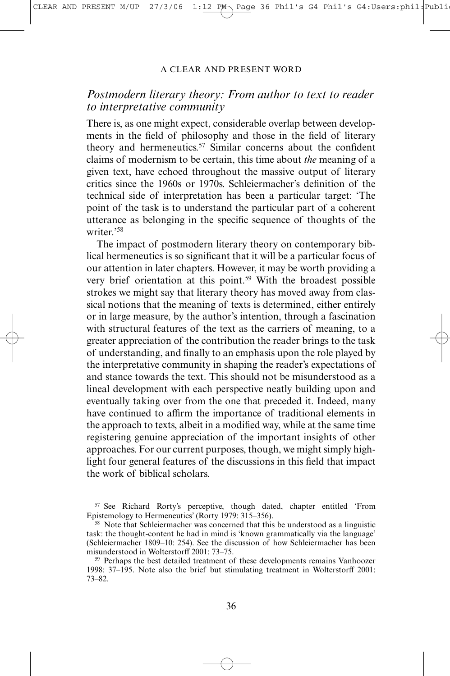CLEAR AND PRESENT M/UP  $27/3/06$  1:12 PM Page 36 Phil's G4 Phil's G4:Users:phil: Publi

#### A CLEAR AND PRESENT WORD

### *Postmodern literary theory: From author to text to reader to interpretative community*

There is, as one might expect, considerable overlap between developments in the field of philosophy and those in the field of literary theory and hermeneutics.<sup>57</sup> Similar concerns about the confident claims of modernism to be certain, this time about *the* meaning of a given text, have echoed throughout the massive output of literary critics since the 1960s or 1970s. Schleiermacher's definition of the technical side of interpretation has been a particular target: 'The point of the task is to understand the particular part of a coherent utterance as belonging in the specific sequence of thoughts of the writer.'58

The impact of postmodern literary theory on contemporary biblical hermeneutics is so significant that it will be a particular focus of our attention in later chapters. However, it may be worth providing a very brief orientation at this point.59 With the broadest possible strokes we might say that literary theory has moved away from classical notions that the meaning of texts is determined, either entirely or in large measure, by the author's intention, through a fascination with structural features of the text as the carriers of meaning, to a greater appreciation of the contribution the reader brings to the task of understanding, and finally to an emphasis upon the role played by the interpretative community in shaping the reader's expectations of and stance towards the text. This should not be misunderstood as a lineal development with each perspective neatly building upon and eventually taking over from the one that preceded it. Indeed, many have continued to affirm the importance of traditional elements in the approach to texts, albeit in a modified way, while at the same time registering genuine appreciation of the important insights of other approaches. For our current purposes, though, we might simply highlight four general features of the discussions in this field that impact the work of biblical scholars.

<sup>57</sup> See Richard Rorty's perceptive, though dated, chapter entitled 'From Epistemology to Hermeneutics' (Rorty 1979: 315–356).

<sup>&</sup>lt;sup>58</sup> Note that Schleiermacher was concerned that this be understood as a linguistic task: the thought-content he had in mind is 'known grammatically via the language' (Schleiermacher 1809–10: 254). See the discussion of how Schleiermacher has been misunderstood in Wolterstorff 2001: 73–75.

<sup>&</sup>lt;sup>59</sup> Perhaps the best detailed treatment of these developments remains Vanhoozer 1998: 37–195. Note also the brief but stimulating treatment in Wolterstorff 2001: 73–82.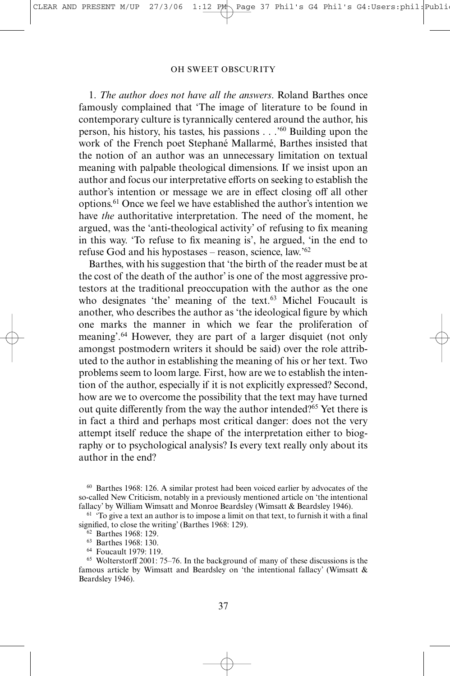1. *The author does not have all the answers*. Roland Barthes once famously complained that 'The image of literature to be found in contemporary culture is tyrannically centered around the author, his person, his history, his tastes, his passions . . .'60 Building upon the work of the French poet Stephané Mallarmé, Barthes insisted that the notion of an author was an unnecessary limitation on textual meaning with palpable theological dimensions. If we insist upon an author and focus our interpretative efforts on seeking to establish the author's intention or message we are in effect closing off all other options.61 Once we feel we have established the author's intention we have *the* authoritative interpretation. The need of the moment, he argued, was the 'anti-theological activity' of refusing to fix meaning in this way. 'To refuse to fix meaning is', he argued, 'in the end to refuse God and his hypostases – reason, science, law.'62

Barthes, with his suggestion that 'the birth of the reader must be at the cost of the death of the author' is one of the most aggressive protestors at the traditional preoccupation with the author as the one who designates 'the' meaning of the text.<sup>63</sup> Michel Foucault is another, who describes the author as 'the ideological figure by which one marks the manner in which we fear the proliferation of meaning'.64 However, they are part of a larger disquiet (not only amongst postmodern writers it should be said) over the role attributed to the author in establishing the meaning of his or her text. Two problems seem to loom large. First, how are we to establish the intention of the author, especially if it is not explicitly expressed? Second, how are we to overcome the possibility that the text may have turned out quite differently from the way the author intended?65 Yet there is in fact a third and perhaps most critical danger: does not the very attempt itself reduce the shape of the interpretation either to biography or to psychological analysis? Is every text really only about its author in the end?

<sup>60</sup> Barthes 1968: 126. A similar protest had been voiced earlier by advocates of the so-called New Criticism, notably in a previously mentioned article on 'the intentional fallacy' by William Wimsatt and Monroe Beardsley (Wimsatt & Beardsley 1946).

<sup>&</sup>lt;sup>61</sup> To give a text an author is to impose a limit on that text, to furnish it with a final signified, to close the writing' (Barthes 1968: 129).

<sup>62</sup> Barthes 1968: 129.

<sup>63</sup> Barthes 1968: 130.

<sup>64</sup> Foucault 1979: 119.

<sup>65</sup> Wolterstorff 2001: 75–76. In the background of many of these discussions is the famous article by Wimsatt and Beardsley on 'the intentional fallacy' (Wimsatt & Beardsley 1946).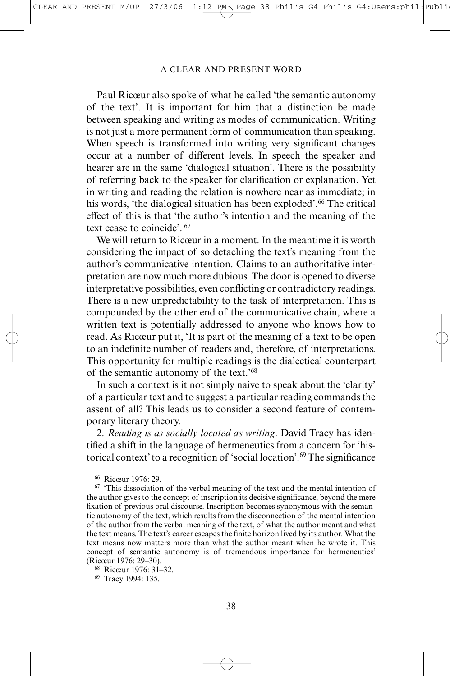Paul Ricœur also spoke of what he called 'the semantic autonomy of the text'. It is important for him that a distinction be made between speaking and writing as modes of communication. Writing is not just a more permanent form of communication than speaking. When speech is transformed into writing very significant changes occur at a number of different levels. In speech the speaker and hearer are in the same 'dialogical situation'. There is the possibility of referring back to the speaker for clarification or explanation. Yet in writing and reading the relation is nowhere near as immediate; in his words, 'the dialogical situation has been exploded'.<sup>66</sup> The critical effect of this is that 'the author's intention and the meaning of the text cease to coincide'. <sup>67</sup>

We will return to Ricœur in a moment. In the meantime it is worth considering the impact of so detaching the text's meaning from the author's communicative intention. Claims to an authoritative interpretation are now much more dubious. The door is opened to diverse interpretative possibilities, even conflicting or contradictory readings. There is a new unpredictability to the task of interpretation. This is compounded by the other end of the communicative chain, where a written text is potentially addressed to anyone who knows how to read. As Ricœur put it, 'It is part of the meaning of a text to be open to an indefinite number of readers and, therefore, of interpretations. This opportunity for multiple readings is the dialectical counterpart of the semantic autonomy of the text.'68

In such a context is it not simply naive to speak about the 'clarity' of a particular text and to suggest a particular reading commands the assent of all? This leads us to consider a second feature of contemporary literary theory.

2. *Reading is as socially located as writing*. David Tracy has identified a shift in the language of hermeneutics from a concern for 'historical context' to a recognition of 'social location'.69 The significance

<sup>66</sup> Ricœur 1976: 29.

<sup>67</sup> 'This dissociation of the verbal meaning of the text and the mental intention of the author gives to the concept of inscription its decisive significance, beyond the mere fixation of previous oral discourse. Inscription becomes synonymous with the semantic autonomy of the text, which results from the disconnection of the mental intention of the author from the verbal meaning of the text, of what the author meant and what the text means. The text's career escapes the finite horizon lived by its author. What the text means now matters more than what the author meant when he wrote it. This concept of semantic autonomy is of tremendous importance for hermeneutics' (Ricœur 1976: 29–30).

<sup>68</sup> Ricœur 1976: 31–32.

<sup>69</sup> Tracy 1994: 135.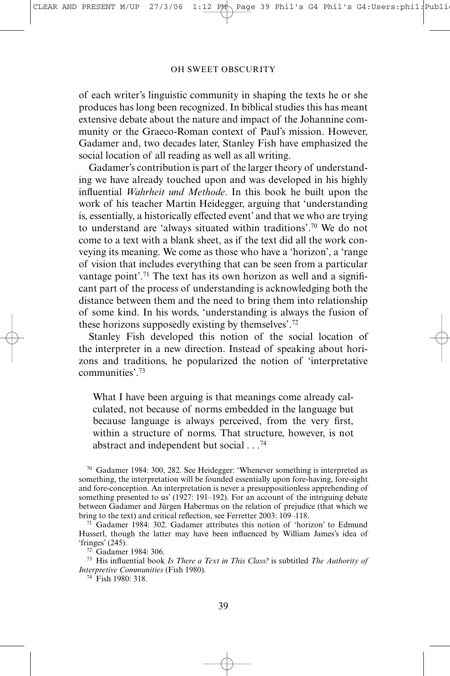of each writer's linguistic community in shaping the texts he or she produces has long been recognized. In biblical studies this has meant extensive debate about the nature and impact of the Johannine community or the Graeco-Roman context of Paul's mission. However, Gadamer and, two decades later, Stanley Fish have emphasized the social location of all reading as well as all writing.

Gadamer's contribution is part of the larger theory of understanding we have already touched upon and was developed in his highly influential *Wahrheit und Methode*. In this book he built upon the work of his teacher Martin Heidegger, arguing that 'understanding is, essentially, a historically effected event' and that we who are trying to understand are 'always situated within traditions'.70 We do not come to a text with a blank sheet, as if the text did all the work conveying its meaning. We come as those who have a 'horizon', a 'range of vision that includes everything that can be seen from a particular vantage point'.<sup>71</sup> The text has its own horizon as well and a significant part of the process of understanding is acknowledging both the distance between them and the need to bring them into relationship of some kind. In his words, 'understanding is always the fusion of these horizons supposedly existing by themselves'.72

Stanley Fish developed this notion of the social location of the interpreter in a new direction. Instead of speaking about horizons and traditions, he popularized the notion of 'interpretative communities'.73

What I have been arguing is that meanings come already calculated, not because of norms embedded in the language but because language is always perceived, from the very first, within a structure of norms. That structure, however, is not abstract and independent but social . . .74

<sup>70</sup> Gadamer 1984: 300, 282. See Heidegger: 'Whenever something is interpreted as something, the interpretation will be founded essentially upon fore-having, fore-sight and fore-conception. An interpretation is never a presuppositionless apprehending of something presented to us' (1927: 191–192). For an account of the intriguing debate between Gadamer and Jürgen Habermas on the relation of prejudice (that which we bring to the text) and critical reflection, see Ferretter 2003: 109–118.

<sup>71</sup> Gadamer 1984: 302. Gadamer attributes this notion of 'horizon' to Edmund Husserl, though the latter may have been influenced by William James's idea of 'fringes' (245).

<sup>72</sup> Gadamer 1984: 306.

<sup>73</sup> His influential book *Is There a Text in This Class?* is subtitled *The Authority of Interpretive Communities* (Fish 1980).

<sup>74</sup> Fish 1980: 318.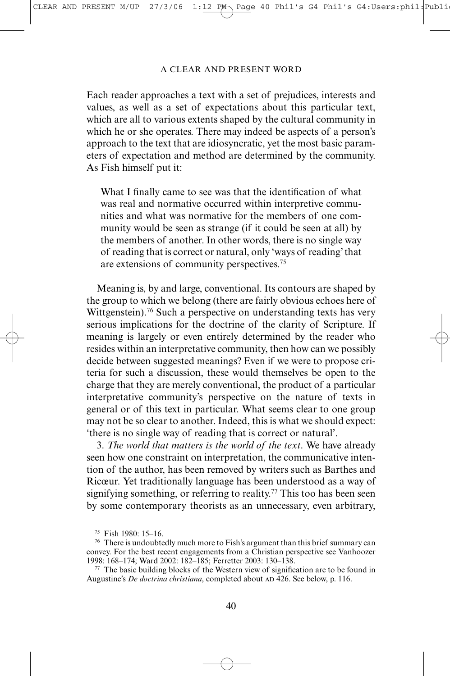Each reader approaches a text with a set of prejudices, interests and values, as well as a set of expectations about this particular text, which are all to various extents shaped by the cultural community in which he or she operates. There may indeed be aspects of a person's approach to the text that are idiosyncratic, yet the most basic parameters of expectation and method are determined by the community. As Fish himself put it:

What I finally came to see was that the identification of what was real and normative occurred within interpretive communities and what was normative for the members of one community would be seen as strange (if it could be seen at all) by the members of another. In other words, there is no single way of reading that is correct or natural, only 'ways of reading' that are extensions of community perspectives.75

Meaning is, by and large, conventional. Its contours are shaped by the group to which we belong (there are fairly obvious echoes here of Wittgenstein).<sup>76</sup> Such a perspective on understanding texts has very serious implications for the doctrine of the clarity of Scripture. If meaning is largely or even entirely determined by the reader who resides within an interpretative community, then how can we possibly decide between suggested meanings? Even if we were to propose criteria for such a discussion, these would themselves be open to the charge that they are merely conventional, the product of a particular interpretative community's perspective on the nature of texts in general or of this text in particular. What seems clear to one group may not be so clear to another. Indeed, this is what we should expect: 'there is no single way of reading that is correct or natural'.

3. *The world that matters is the world of the text*. We have already seen how one constraint on interpretation, the communicative intention of the author, has been removed by writers such as Barthes and Ricœur. Yet traditionally language has been understood as a way of signifying something, or referring to reality.<sup>77</sup> This too has been seen by some contemporary theorists as an unnecessary, even arbitrary,

<sup>75</sup> Fish 1980: 15–16.

<sup>76</sup> There is undoubtedly much more to Fish's argument than this brief summary can convey. For the best recent engagements from a Christian perspective see Vanhoozer 1998: 168–174; Ward 2002: 182–185; Ferretter 2003: 130–138.

 $77$  The basic building blocks of the Western view of signification are to be found in Augustine's *De doctrina christiana*, completed about AD 426. See below, p. 116.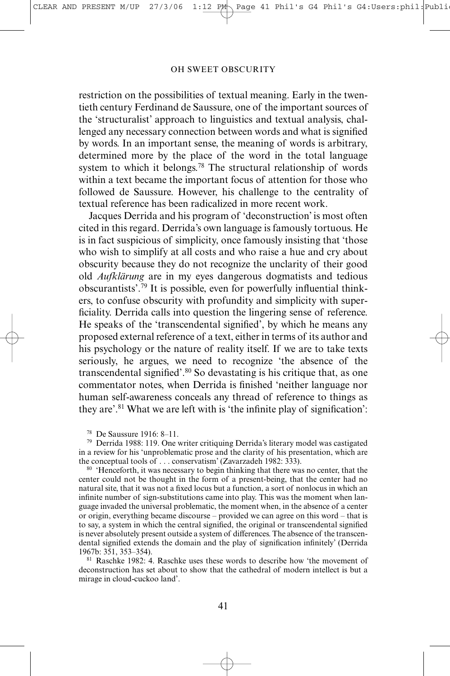restriction on the possibilities of textual meaning. Early in the twentieth century Ferdinand de Saussure, one of the important sources of the 'structuralist' approach to linguistics and textual analysis, challenged any necessary connection between words and what is signified by words. In an important sense, the meaning of words is arbitrary, determined more by the place of the word in the total language system to which it belongs.78 The structural relationship of words within a text became the important focus of attention for those who followed de Saussure. However, his challenge to the centrality of textual reference has been radicalized in more recent work.

Jacques Derrida and his program of 'deconstruction' is most often cited in this regard. Derrida's own language is famously tortuous. He is in fact suspicious of simplicity, once famously insisting that 'those who wish to simplify at all costs and who raise a hue and cry about obscurity because they do not recognize the unclarity of their good old *Aufklärung* are in my eyes dangerous dogmatists and tedious obscurantists'.79 It is possible, even for powerfully influential thinkers, to confuse obscurity with profundity and simplicity with superficiality. Derrida calls into question the lingering sense of reference. He speaks of the 'transcendental signified', by which he means any proposed external reference of a text, either in terms of its author and his psychology or the nature of reality itself. If we are to take texts seriously, he argues, we need to recognize 'the absence of the transcendental signified'.80 So devastating is his critique that, as one commentator notes, when Derrida is finished 'neither language nor human self-awareness conceals any thread of reference to things as they are'.81 What we are left with is 'the infinite play of signification':

<sup>78</sup> De Saussure 1916: 8–11.

<sup>79</sup> Derrida 1988: 119. One writer critiquing Derrida's literary model was castigated in a review for his 'unproblematic prose and the clarity of his presentation, which are the conceptual tools of ... conservatism' (Zavarzadeh 1982: 333).

<sup>80</sup> 'Henceforth, it was necessary to begin thinking that there was no center, that the center could not be thought in the form of a present-being, that the center had no natural site, that it was not a fixed locus but a function, a sort of nonlocus in which an infinite number of sign-substitutions came into play. This was the moment when language invaded the universal problematic, the moment when, in the absence of a center or origin, everything became discourse – provided we can agree on this word – that is to say, a system in which the central signified, the original or transcendental signified is never absolutely present outside a system of differences. The absence of the transcendental signified extends the domain and the play of signification infinitely' (Derrida 1967b: 351, 353–354).

<sup>81</sup> Raschke 1982: 4. Raschke uses these words to describe how 'the movement of deconstruction has set about to show that the cathedral of modern intellect is but a mirage in cloud-cuckoo land'.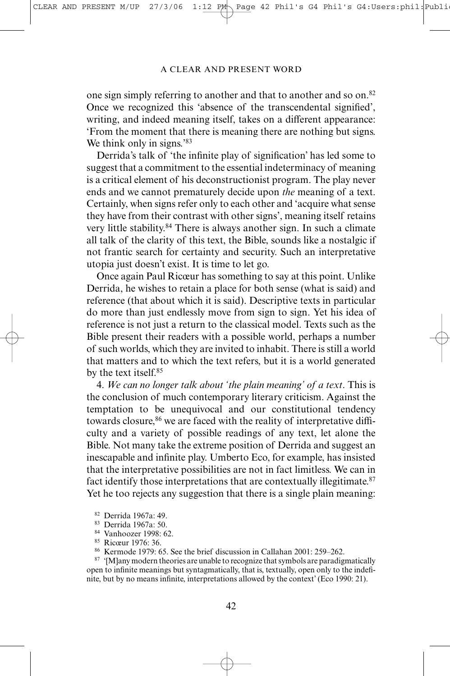one sign simply referring to another and that to another and so on.<sup>82</sup> Once we recognized this 'absence of the transcendental signified', writing, and indeed meaning itself, takes on a different appearance: 'From the moment that there is meaning there are nothing but signs. We think only in signs.'83

Derrida's talk of 'the infinite play of signification' has led some to suggest that a commitment to the essential indeterminacy of meaning is a critical element of his deconstructionist program. The play never ends and we cannot prematurely decide upon *the* meaning of a text. Certainly, when signs refer only to each other and 'acquire what sense they have from their contrast with other signs', meaning itself retains very little stability.84 There is always another sign. In such a climate all talk of the clarity of this text, the Bible, sounds like a nostalgic if not frantic search for certainty and security. Such an interpretative utopia just doesn't exist. It is time to let go.

Once again Paul Ricœur has something to say at this point. Unlike Derrida, he wishes to retain a place for both sense (what is said) and reference (that about which it is said). Descriptive texts in particular do more than just endlessly move from sign to sign. Yet his idea of reference is not just a return to the classical model. Texts such as the Bible present their readers with a possible world, perhaps a number of such worlds, which they are invited to inhabit. There is still a world that matters and to which the text refers, but it is a world generated by the text itself.85

4. *We can no longer talk about 'the plain meaning' of a text*. This is the conclusion of much contemporary literary criticism. Against the temptation to be unequivocal and our constitutional tendency towards closure,<sup>86</sup> we are faced with the reality of interpretative difficulty and a variety of possible readings of any text, let alone the Bible. Not many take the extreme position of Derrida and suggest an inescapable and infinite play. Umberto Eco, for example, has insisted that the interpretative possibilities are not in fact limitless. We can in fact identify those interpretations that are contextually illegitimate.<sup>87</sup> Yet he too rejects any suggestion that there is a single plain meaning:

<sup>84</sup> Vanhoozer 1998: 62.

 $87$  '[M]any modern theories are unable to recognize that symbols are paradigmatically open to infinite meanings but syntagmatically, that is, textually, open only to the indefinite, but by no means infinite, interpretations allowed by the context' (Eco 1990: 21).

<sup>82</sup> Derrida 1967a: 49.

<sup>83</sup> Derrida 1967a: 50.

<sup>85</sup> Ricœur 1976: 36.

<sup>86</sup> Kermode 1979: 65. See the brief discussion in Callahan 2001: 259–262.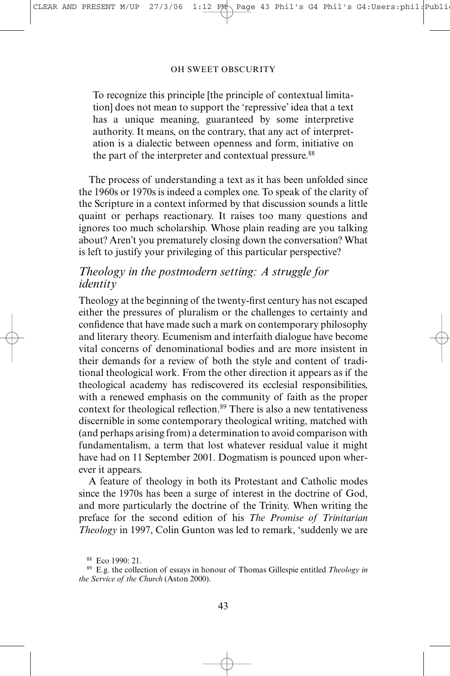To recognize this principle [the principle of contextual limitation] does not mean to support the 'repressive' idea that a text has a unique meaning, guaranteed by some interpretive authority. It means, on the contrary, that any act of interpretation is a dialectic between openness and form, initiative on the part of the interpreter and contextual pressure.<sup>88</sup>

The process of understanding a text as it has been unfolded since the 1960s or 1970s is indeed a complex one. To speak of the clarity of the Scripture in a context informed by that discussion sounds a little quaint or perhaps reactionary. It raises too many questions and ignores too much scholarship. Whose plain reading are you talking about? Aren't you prematurely closing down the conversation? What is left to justify your privileging of this particular perspective?

## *Theology in the postmodern setting: A struggle for identity*

Theology at the beginning of the twenty-first century has not escaped either the pressures of pluralism or the challenges to certainty and confidence that have made such a mark on contemporary philosophy and literary theory. Ecumenism and interfaith dialogue have become vital concerns of denominational bodies and are more insistent in their demands for a review of both the style and content of traditional theological work. From the other direction it appears as if the theological academy has rediscovered its ecclesial responsibilities, with a renewed emphasis on the community of faith as the proper context for theological reflection.<sup>89</sup> There is also a new tentativeness discernible in some contemporary theological writing, matched with (and perhaps arising from) a determination to avoid comparison with fundamentalism, a term that lost whatever residual value it might have had on 11 September 2001. Dogmatism is pounced upon wherever it appears.

A feature of theology in both its Protestant and Catholic modes since the 1970s has been a surge of interest in the doctrine of God, and more particularly the doctrine of the Trinity. When writing the preface for the second edition of his *The Promise of Trinitarian Theology* in 1997, Colin Gunton was led to remark, 'suddenly we are

<sup>88</sup> Eco 1990: 21.

<sup>89</sup> E.g. the collection of essays in honour of Thomas Gillespie entitled *Theology in the Service of the Church* (Aston 2000).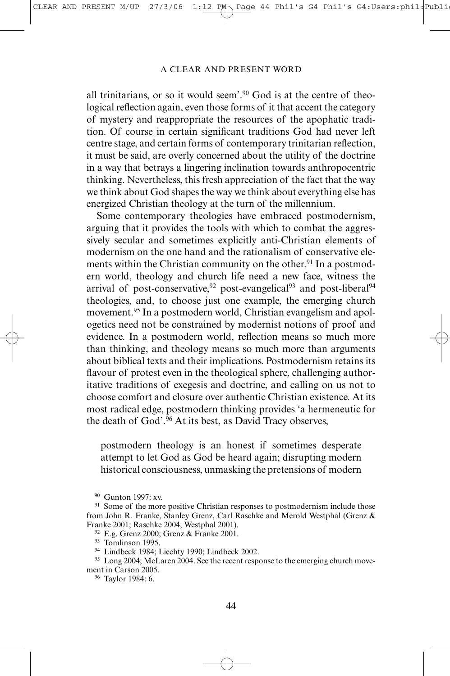all trinitarians, or so it would seem'.<sup>90</sup> God is at the centre of theological reflection again, even those forms of it that accent the category of mystery and reappropriate the resources of the apophatic tradition. Of course in certain significant traditions God had never left centre stage, and certain forms of contemporary trinitarian reflection, it must be said, are overly concerned about the utility of the doctrine in a way that betrays a lingering inclination towards anthropocentric thinking. Nevertheless, this fresh appreciation of the fact that the way we think about God shapes the way we think about everything else has energized Christian theology at the turn of the millennium.

Some contemporary theologies have embraced postmodernism, arguing that it provides the tools with which to combat the aggressively secular and sometimes explicitly anti-Christian elements of modernism on the one hand and the rationalism of conservative elements within the Christian community on the other.<sup>91</sup> In a postmodern world, theology and church life need a new face, witness the arrival of post-conservative,<sup>92</sup> post-evangelical<sup>93</sup> and post-liberal<sup>94</sup> theologies, and, to choose just one example, the emerging church movement.<sup>95</sup> In a postmodern world, Christian evangelism and apologetics need not be constrained by modernist notions of proof and evidence. In a postmodern world, reflection means so much more than thinking, and theology means so much more than arguments about biblical texts and their implications. Postmodernism retains its flavour of protest even in the theological sphere, challenging authoritative traditions of exegesis and doctrine, and calling on us not to choose comfort and closure over authentic Christian existence. At its most radical edge, postmodern thinking provides 'a hermeneutic for the death of God'.96 At its best, as David Tracy observes,

postmodern theology is an honest if sometimes desperate attempt to let God as God be heard again; disrupting modern historical consciousness, unmasking the pretensions of modern

<sup>90</sup> Gunton 1997: xv.

 $92$  E.g. Grenz 2000; Grenz & Franke 2001.

<sup>94</sup> Lindbeck 1984; Liechty 1990; Lindbeck 2002.

<sup>95</sup> Long 2004; McLaren 2004. See the recent response to the emerging church movement in Carson 2005.

<sup>96</sup> Taylor 1984: 6.

<sup>&</sup>lt;sup>91</sup> Some of the more positive Christian responses to postmodernism include those from John R. Franke, Stanley Grenz, Carl Raschke and Merold Westphal (Grenz & Franke 2001; Raschke 2004; Westphal 2001).

<sup>93</sup> Tomlinson 1995.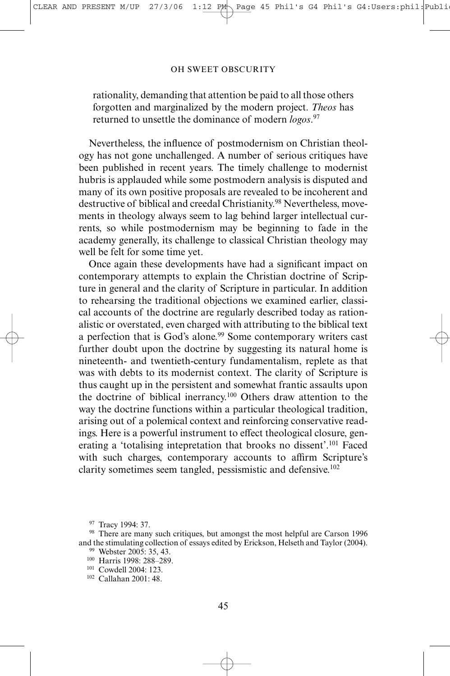rationality, demanding that attention be paid to all those others forgotten and marginalized by the modern project. *Theos* has returned to unsettle the dominance of modern *logos*. 97

Nevertheless, the influence of postmodernism on Christian theology has not gone unchallenged. A number of serious critiques have been published in recent years. The timely challenge to modernist hubris is applauded while some postmodern analysis is disputed and many of its own positive proposals are revealed to be incoherent and destructive of biblical and creedal Christianity.98 Nevertheless, movements in theology always seem to lag behind larger intellectual currents, so while postmodernism may be beginning to fade in the academy generally, its challenge to classical Christian theology may well be felt for some time yet.

Once again these developments have had a significant impact on contemporary attempts to explain the Christian doctrine of Scripture in general and the clarity of Scripture in particular. In addition to rehearsing the traditional objections we examined earlier, classical accounts of the doctrine are regularly described today as rationalistic or overstated, even charged with attributing to the biblical text a perfection that is God's alone.<sup>99</sup> Some contemporary writers cast further doubt upon the doctrine by suggesting its natural home is nineteenth- and twentieth-century fundamentalism, replete as that was with debts to its modernist context. The clarity of Scripture is thus caught up in the persistent and somewhat frantic assaults upon the doctrine of biblical inerrancy.100 Others draw attention to the way the doctrine functions within a particular theological tradition, arising out of a polemical context and reinforcing conservative readings. Here is a powerful instrument to effect theological closure, generating a 'totalising intepretation that brooks no dissent'.101 Faced with such charges, contemporary accounts to affirm Scripture's clarity sometimes seem tangled, pessismistic and defensive.102

<sup>&</sup>lt;sup>97</sup> Tracy 1994: 37.

<sup>&</sup>lt;sup>98</sup> There are many such critiques, but amongst the most helpful are Carson 1996 and the stimulating collection of essays edited by Erickson, Helseth and Taylor (2004).

<sup>&</sup>lt;sup>99</sup> Webster 2005: 35, 43.

<sup>100</sup> Harris 1998: 288–289.

<sup>101</sup> Cowdell 2004: 123.

<sup>102</sup> Callahan 2001: 48.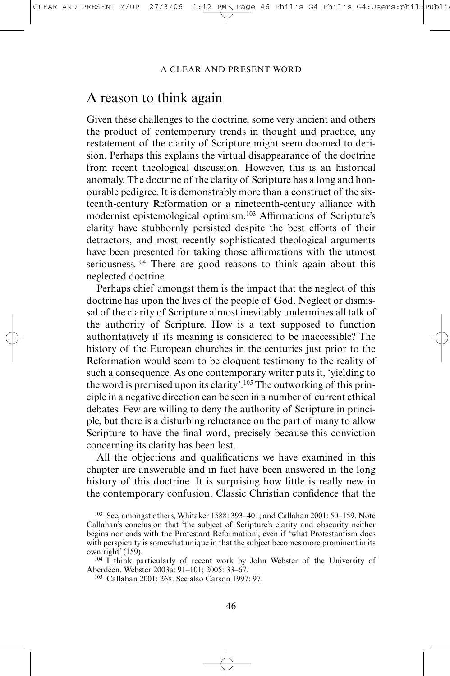## A reason to think again

Given these challenges to the doctrine, some very ancient and others the product of contemporary trends in thought and practice, any restatement of the clarity of Scripture might seem doomed to derision. Perhaps this explains the virtual disappearance of the doctrine from recent theological discussion. However, this is an historical anomaly. The doctrine of the clarity of Scripture has a long and honourable pedigree. It is demonstrably more than a construct of the sixteenth-century Reformation or a nineteenth-century alliance with modernist epistemological optimism.103 Affirmations of Scripture's clarity have stubbornly persisted despite the best efforts of their detractors, and most recently sophisticated theological arguments have been presented for taking those affirmations with the utmost seriousness.<sup>104</sup> There are good reasons to think again about this neglected doctrine.

Perhaps chief amongst them is the impact that the neglect of this doctrine has upon the lives of the people of God. Neglect or dismissal of the clarity of Scripture almost inevitably undermines all talk of the authority of Scripture. How is a text supposed to function authoritatively if its meaning is considered to be inaccessible? The history of the European churches in the centuries just prior to the Reformation would seem to be eloquent testimony to the reality of such a consequence. As one contemporary writer puts it, 'yielding to the word is premised upon its clarity'.105 The outworking of this principle in a negative direction can be seen in a number of current ethical debates. Few are willing to deny the authority of Scripture in principle, but there is a disturbing reluctance on the part of many to allow Scripture to have the final word, precisely because this conviction concerning its clarity has been lost.

All the objections and qualifications we have examined in this chapter are answerable and in fact have been answered in the long history of this doctrine. It is surprising how little is really new in the contemporary confusion. Classic Christian confidence that the

<sup>103</sup> See, amongst others, Whitaker 1588: 393–401; and Callahan 2001: 50–159. Note Callahan's conclusion that 'the subject of Scripture's clarity and obscurity neither begins nor ends with the Protestant Reformation', even if 'what Protestantism does with perspicuity is somewhat unique in that the subject becomes more prominent in its own right' (159).

<sup>&</sup>lt;sup>104</sup> I think particularly of recent work by John Webster of the University of Aberdeen. Webster 2003a: 91–101; 2005: 33–67.

<sup>105</sup> Callahan 2001: 268. See also Carson 1997: 97.